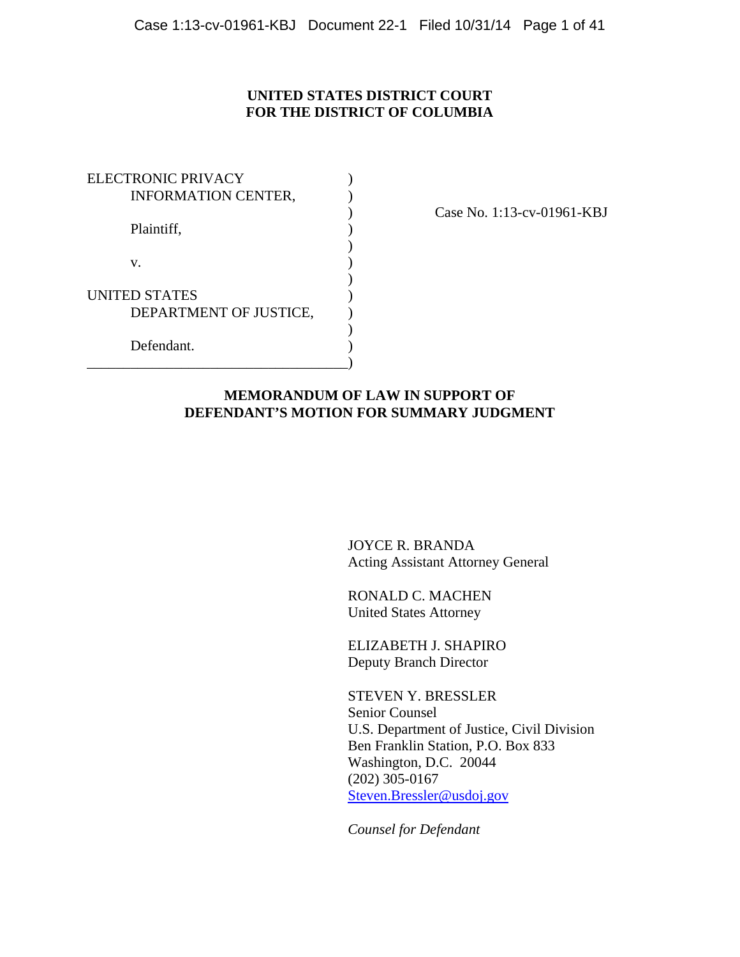# **UNITED STATES DISTRICT COURT FOR THE DISTRICT OF COLUMBIA**

| <b>ELECTRONIC PRIVACY</b>  |  |
|----------------------------|--|
| <b>INFORMATION CENTER,</b> |  |
|                            |  |
| Plaintiff,                 |  |
|                            |  |
| V.                         |  |
|                            |  |
| <b>UNITED STATES</b>       |  |
| DEPARTMENT OF JUSTICE,     |  |
|                            |  |
| Defendant.                 |  |
|                            |  |

) Case No. 1:13-cv-01961-KBJ

## **MEMORANDUM OF LAW IN SUPPORT OF DEFENDANT'S MOTION FOR SUMMARY JUDGMENT**

 JOYCE R. BRANDA Acting Assistant Attorney General

 RONALD C. MACHEN United States Attorney

 ELIZABETH J. SHAPIRO Deputy Branch Director

 STEVEN Y. BRESSLER Senior Counsel U.S. Department of Justice, Civil Division Ben Franklin Station, P.O. Box 833 Washington, D.C. 20044 (202) 305-0167 Steven.Bressler@usdoj.gov

*Counsel for Defendant*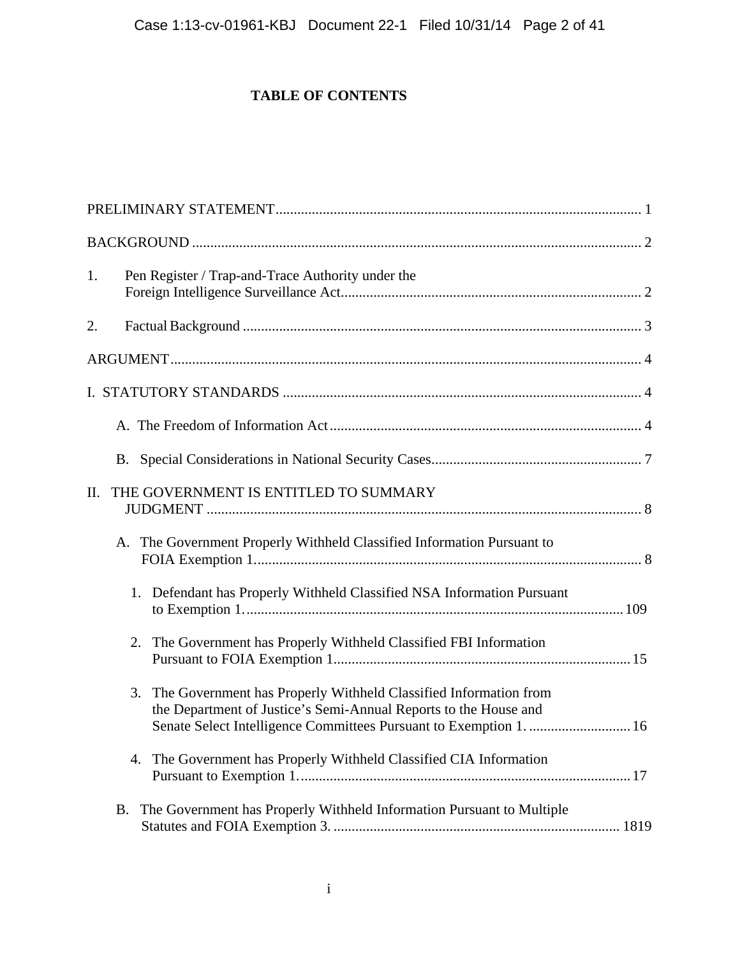# **TABLE OF CONTENTS**

| Pen Register / Trap-and-Trace Authority under the<br>1.                                                                                                                                                       |
|---------------------------------------------------------------------------------------------------------------------------------------------------------------------------------------------------------------|
| 2.                                                                                                                                                                                                            |
|                                                                                                                                                                                                               |
|                                                                                                                                                                                                               |
|                                                                                                                                                                                                               |
|                                                                                                                                                                                                               |
| THE GOVERNMENT IS ENTITLED TO SUMMARY<br>II.                                                                                                                                                                  |
| The Government Properly Withheld Classified Information Pursuant to<br>A.                                                                                                                                     |
| 1. Defendant has Properly Withheld Classified NSA Information Pursuant                                                                                                                                        |
| The Government has Properly Withheld Classified FBI Information<br>2.                                                                                                                                         |
| 3. The Government has Properly Withheld Classified Information from<br>the Department of Justice's Semi-Annual Reports to the House and<br>Senate Select Intelligence Committees Pursuant to Exemption 1.  16 |
| 4. The Government has Properly Withheld Classified CIA Information                                                                                                                                            |
| The Government has Properly Withheld Information Pursuant to Multiple<br>В.                                                                                                                                   |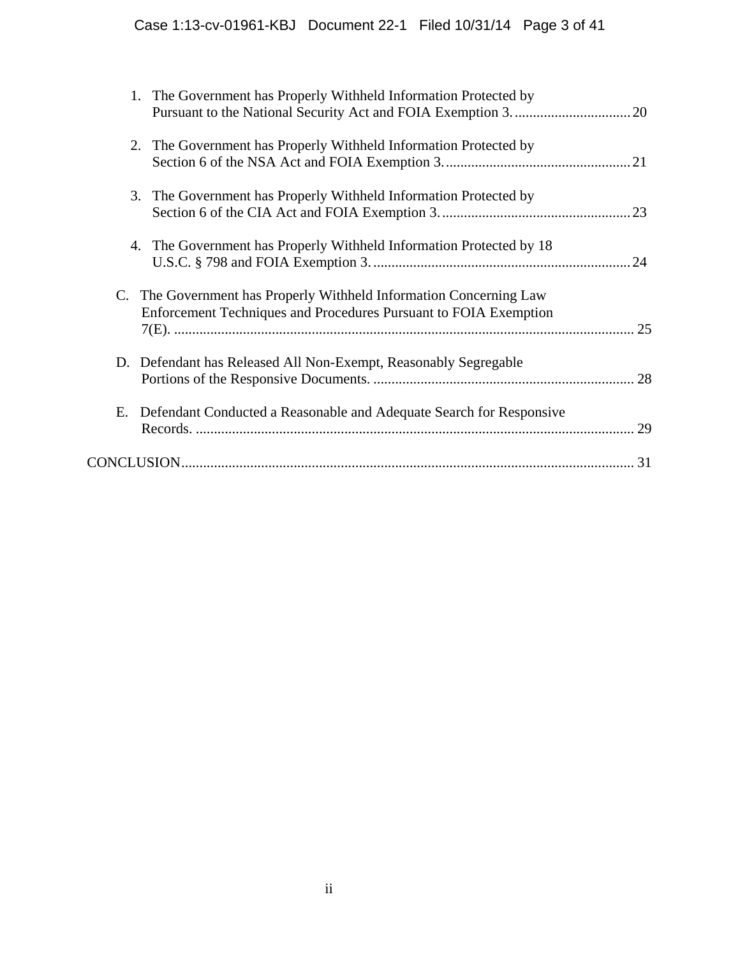|    | The Government has Properly Withheld Information Protected by<br>1.                                                                    |    |
|----|----------------------------------------------------------------------------------------------------------------------------------------|----|
|    | The Government has Properly Withheld Information Protected by<br>2.                                                                    |    |
|    | The Government has Properly Withheld Information Protected by<br>3.                                                                    | 23 |
|    | The Government has Properly Withheld Information Protected by 18<br>4.                                                                 |    |
|    | C. The Government has Properly Withheld Information Concerning Law<br>Enforcement Techniques and Procedures Pursuant to FOIA Exemption | 25 |
|    | D. Defendant has Released All Non-Exempt, Reasonably Segregable                                                                        | 28 |
| Е. | Defendant Conducted a Reasonable and Adequate Search for Responsive                                                                    | 29 |
|    |                                                                                                                                        |    |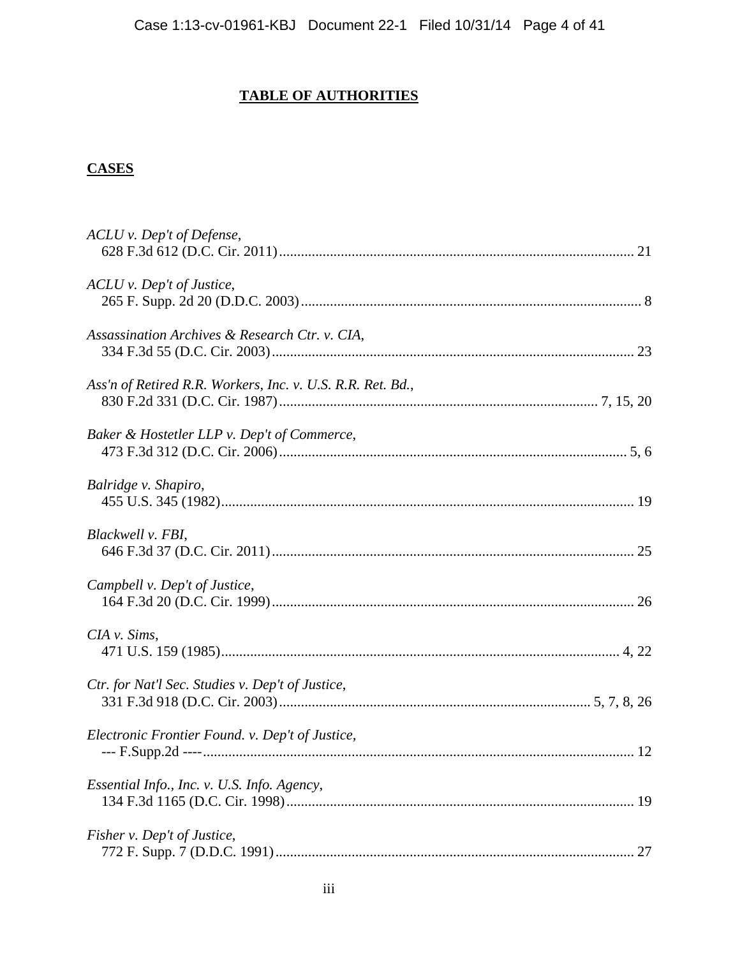# **TABLE OF AUTHORITIES**

# **CASES**

| ACLU v. Dep't of Defense,                                  |    |
|------------------------------------------------------------|----|
| ACLU v. Dep't of Justice,                                  |    |
| Assassination Archives & Research Ctr. v. CIA,             |    |
| Ass'n of Retired R.R. Workers, Inc. v. U.S. R.R. Ret. Bd., |    |
| Baker & Hostetler LLP v. Dep't of Commerce,                |    |
| Balridge v. Shapiro,                                       |    |
| Blackwell v. FBI,                                          |    |
| Campbell v. Dep't of Justice,                              |    |
| $CIA$ v. Sims,                                             |    |
| Ctr. for Nat'l Sec. Studies v. Dep't of Justice,           |    |
| Electronic Frontier Found. v. Dep't of Justice,            |    |
| Essential Info., Inc. v. U.S. Info. Agency,                |    |
| Fisher v. Dep't of Justice,                                | 27 |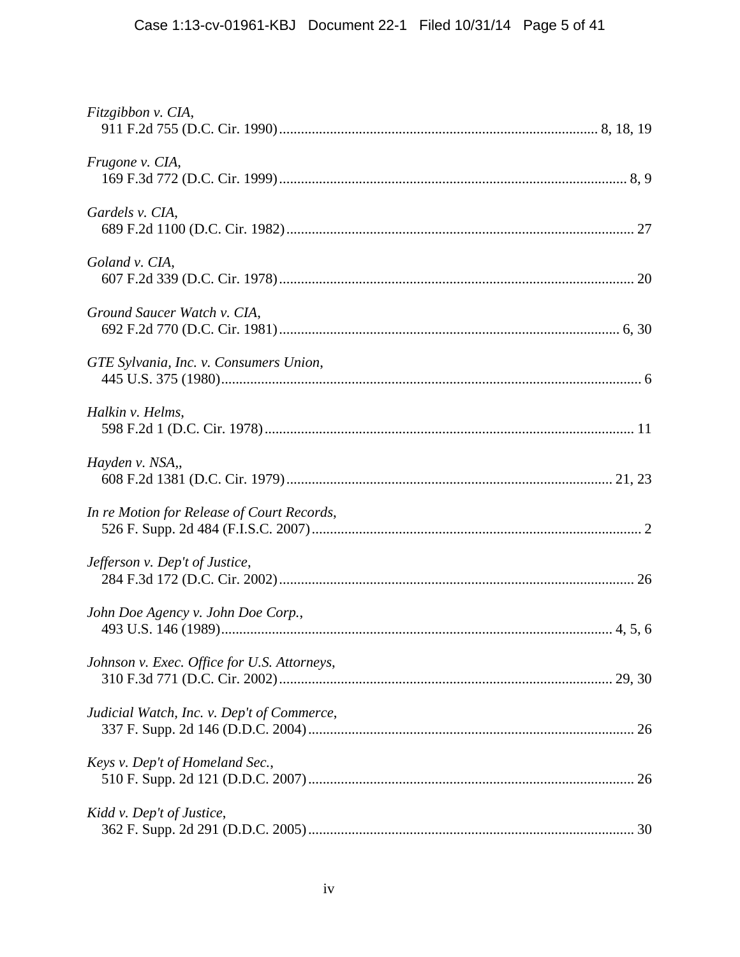| Fitzgibbon v. CIA,                          |  |
|---------------------------------------------|--|
| Frugone v. CIA,                             |  |
| Gardels v. CIA,                             |  |
| Goland v. CIA,                              |  |
| Ground Saucer Watch v. CIA,                 |  |
| GTE Sylvania, Inc. v. Consumers Union,      |  |
| Halkin v. Helms,                            |  |
| Hayden v. NSA,,                             |  |
| In re Motion for Release of Court Records,  |  |
| Jefferson v. Dep't of Justice,              |  |
| John Doe Agency v. John Doe Corp.,          |  |
| Johnson v. Exec. Office for U.S. Attorneys, |  |
| Judicial Watch, Inc. v. Dep't of Commerce,  |  |
| Keys v. Dep't of Homeland Sec.,             |  |
| Kidd v. Dep't of Justice,                   |  |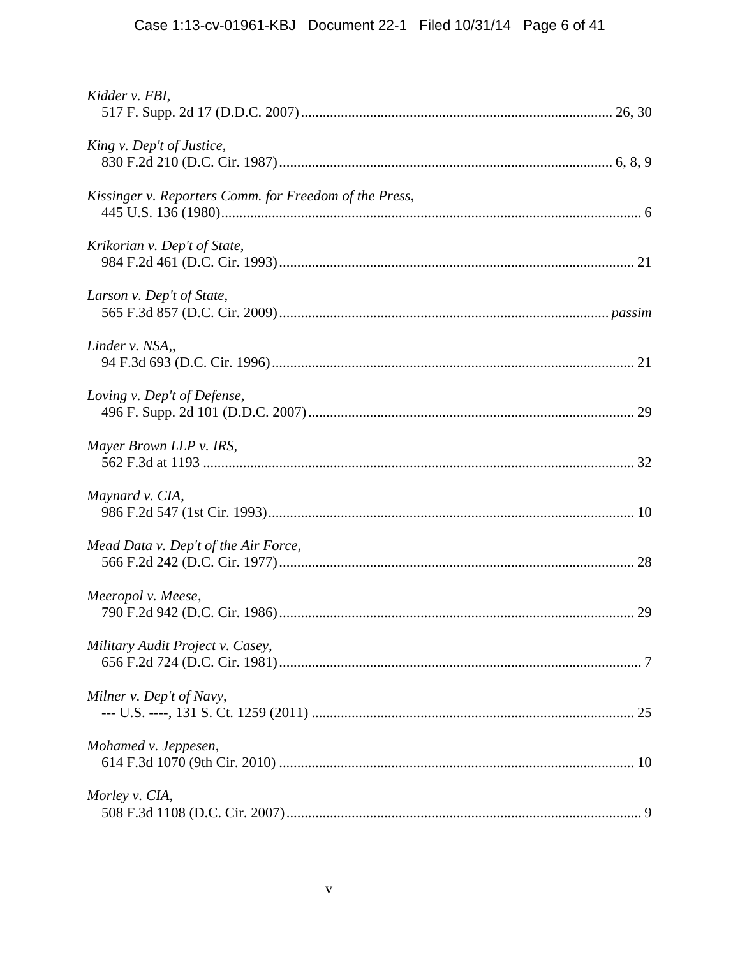| Kidder v. FBI,                                         |
|--------------------------------------------------------|
| King v. Dep't of Justice,                              |
| Kissinger v. Reporters Comm. for Freedom of the Press, |
| Krikorian v. Dep't of State,                           |
| Larson v. Dep't of State,                              |
| Linder v. NSA,,                                        |
| Loving v. Dep't of Defense,                            |
| Mayer Brown LLP v. IRS,                                |
| Maynard v. CIA,                                        |
| Mead Data v. Dep't of the Air Force,                   |
| Meeropol v. Meese,                                     |
| Military Audit Project v. Casey,                       |
| Milner v. Dep't of Navy,                               |
| Mohamed v. Jeppesen,                                   |
| Morley v. CIA,                                         |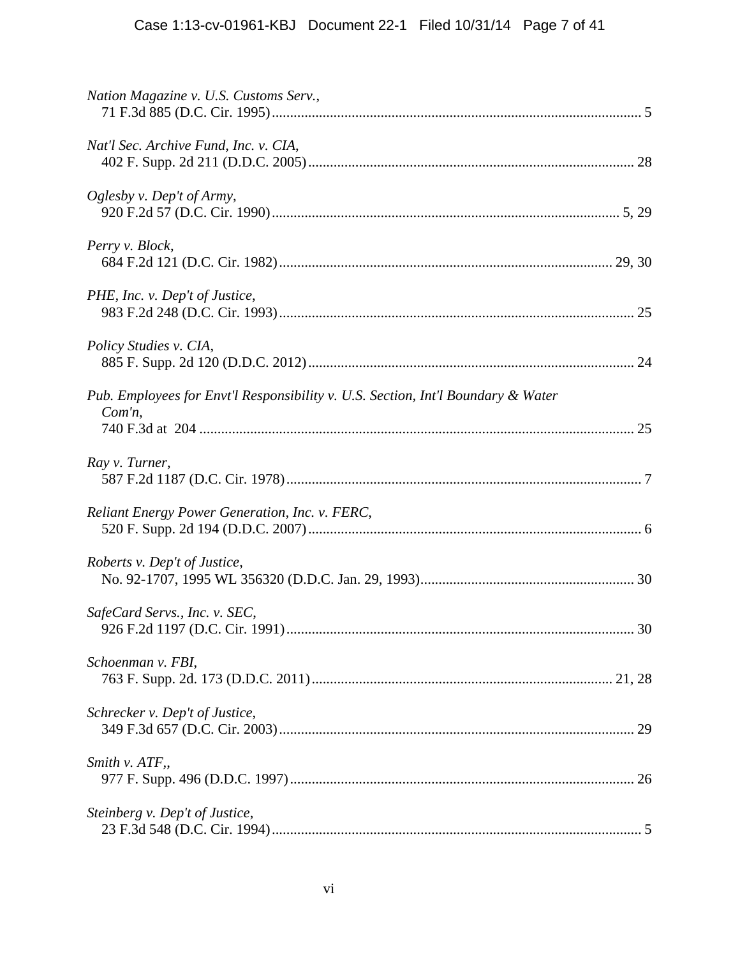| Nation Magazine v. U.S. Customs Serv.,                                                        |
|-----------------------------------------------------------------------------------------------|
| Nat'l Sec. Archive Fund, Inc. v. CIA,                                                         |
| Oglesby v. Dep't of Army,                                                                     |
| Perry v. Block,                                                                               |
| PHE, Inc. v. Dep't of Justice,                                                                |
| Policy Studies v. CIA,                                                                        |
| Pub. Employees for Envt'l Responsibility v. U.S. Section, Int'l Boundary & Water<br>$Com'n$ , |
| Ray v. Turner,                                                                                |
| Reliant Energy Power Generation, Inc. v. FERC,                                                |
| Roberts v. Dep't of Justice,                                                                  |
| SafeCard Servs., Inc. v. SEC,<br>30                                                           |
| Schoenman v. FBI,                                                                             |
| Schrecker v. Dep't of Justice,                                                                |
| Smith v. ATF,,                                                                                |
| Steinberg v. Dep't of Justice,                                                                |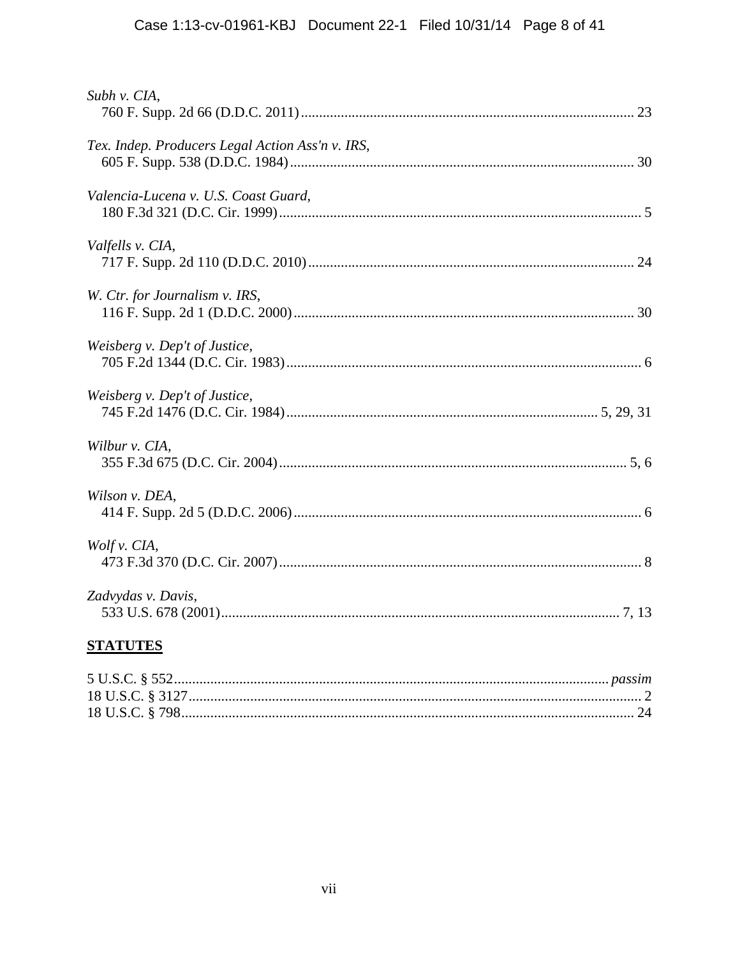| Subh v. CIA,                                     |
|--------------------------------------------------|
| Tex. Indep. Producers Legal Action Ass'n v. IRS, |
| Valencia-Lucena v. U.S. Coast Guard,             |
| Valfells v. CIA,                                 |
| W. Ctr. for Journalism v. IRS,                   |
| Weisberg v. Dep't of Justice,                    |
| Weisberg v. Dep't of Justice,                    |
| Wilbur v. CIA,                                   |
| Wilson v. DEA,                                   |
| Wolf v. CIA,                                     |
| Zadvydas v. Davis,                               |

# **STATUTES**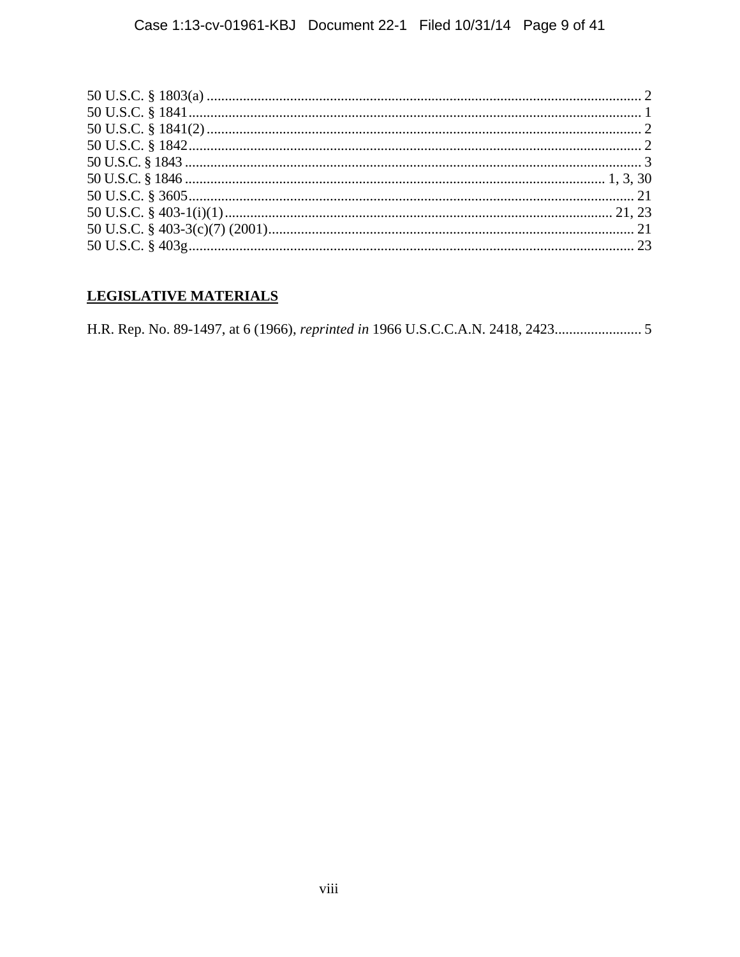# LEGISLATIVE MATERIALS

H.R. Rep. No. 89-1497, at 6 (1966), reprinted in 1966 U.S.C.C.A.N. 2418, 2423.................................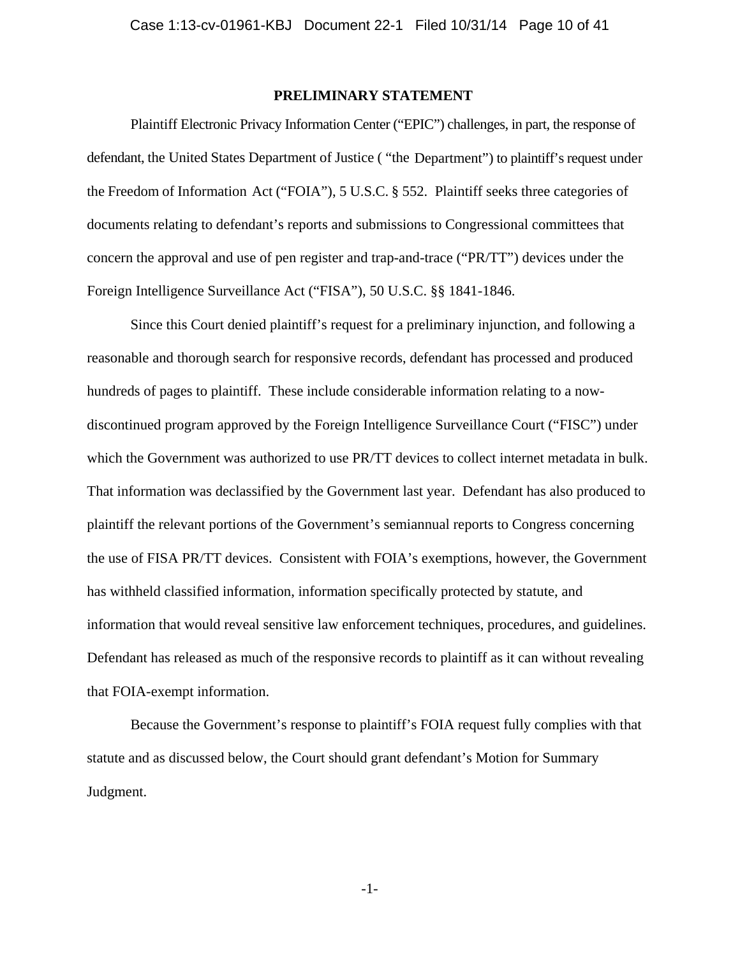### **PRELIMINARY STATEMENT**

Plaintiff Electronic Privacy Information Center ("EPIC") challenges, in part, the response of defendant, the United States Department of Justice ( "the Department") to plaintiff's request under the Freedom of Information Act ("FOIA"), 5 U.S.C. § 552. Plaintiff seeks three categories of documents relating to defendant's reports and submissions to Congressional committees that concern the approval and use of pen register and trap-and-trace ("PR/TT") devices under the Foreign Intelligence Surveillance Act ("FISA"), 50 U.S.C. §§ 1841-1846.

Since this Court denied plaintiff's request for a preliminary injunction, and following a reasonable and thorough search for responsive records, defendant has processed and produced hundreds of pages to plaintiff. These include considerable information relating to a nowdiscontinued program approved by the Foreign Intelligence Surveillance Court ("FISC") under which the Government was authorized to use PR/TT devices to collect internet metadata in bulk. That information was declassified by the Government last year. Defendant has also produced to plaintiff the relevant portions of the Government's semiannual reports to Congress concerning the use of FISA PR/TT devices. Consistent with FOIA's exemptions, however, the Government has withheld classified information, information specifically protected by statute, and information that would reveal sensitive law enforcement techniques, procedures, and guidelines. Defendant has released as much of the responsive records to plaintiff as it can without revealing that FOIA-exempt information.

Because the Government's response to plaintiff's FOIA request fully complies with that statute and as discussed below, the Court should grant defendant's Motion for Summary Judgment.

-1-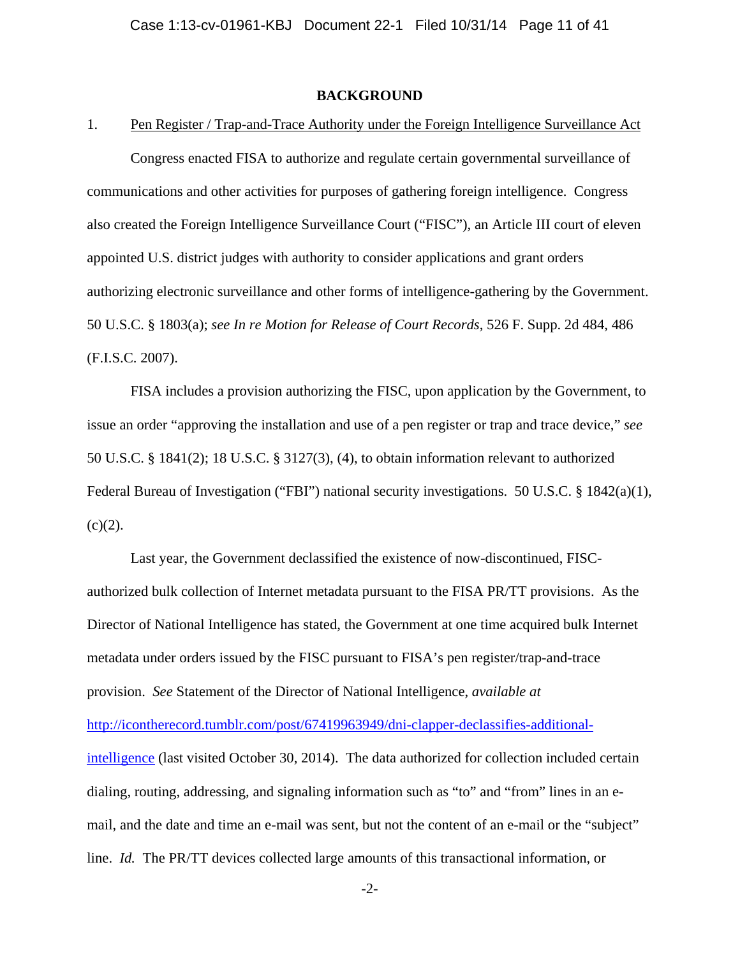### **BACKGROUND**

#### 1. Pen Register / Trap-and-Trace Authority under the Foreign Intelligence Surveillance Act

Congress enacted FISA to authorize and regulate certain governmental surveillance of communications and other activities for purposes of gathering foreign intelligence. Congress also created the Foreign Intelligence Surveillance Court ("FISC"), an Article III court of eleven appointed U.S. district judges with authority to consider applications and grant orders authorizing electronic surveillance and other forms of intelligence-gathering by the Government. 50 U.S.C. § 1803(a); *see In re Motion for Release of Court Records*, 526 F. Supp. 2d 484, 486 (F.I.S.C. 2007).

FISA includes a provision authorizing the FISC, upon application by the Government, to issue an order "approving the installation and use of a pen register or trap and trace device," *see*  50 U.S.C. § 1841(2); 18 U.S.C. § 3127(3), (4), to obtain information relevant to authorized Federal Bureau of Investigation ("FBI") national security investigations. 50 U.S.C. § 1842(a)(1),  $(c)(2)$ .

Last year, the Government declassified the existence of now-discontinued, FISCauthorized bulk collection of Internet metadata pursuant to the FISA PR/TT provisions. As the Director of National Intelligence has stated, the Government at one time acquired bulk Internet metadata under orders issued by the FISC pursuant to FISA's pen register/trap-and-trace provision. *See* Statement of the Director of National Intelligence, *available at* http://icontherecord.tumblr.com/post/67419963949/dni-clapper-declassifies-additionalintelligence (last visited October 30, 2014). The data authorized for collection included certain dialing, routing, addressing, and signaling information such as "to" and "from" lines in an email, and the date and time an e-mail was sent, but not the content of an e-mail or the "subject" line. *Id.* The PR/TT devices collected large amounts of this transactional information, or

-2-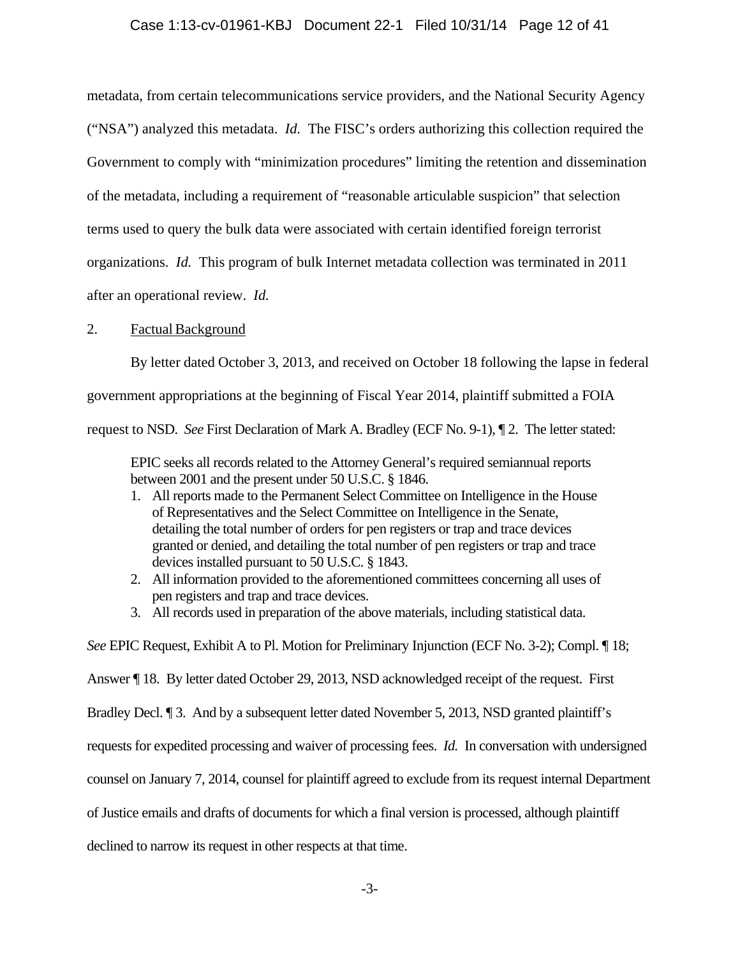### Case 1:13-cv-01961-KBJ Document 22-1 Filed 10/31/14 Page 12 of 41

metadata, from certain telecommunications service providers, and the National Security Agency ("NSA") analyzed this metadata. *Id.* The FISC's orders authorizing this collection required the Government to comply with "minimization procedures" limiting the retention and dissemination of the metadata, including a requirement of "reasonable articulable suspicion" that selection terms used to query the bulk data were associated with certain identified foreign terrorist organizations. *Id.* This program of bulk Internet metadata collection was terminated in 2011 after an operational review. *Id.*

### 2. Factual Background

By letter dated October 3, 2013, and received on October 18 following the lapse in federal government appropriations at the beginning of Fiscal Year 2014, plaintiff submitted a FOIA request to NSD. *See* First Declaration of Mark A. Bradley (ECF No. 9-1), ¶ 2. The letter stated:

EPIC seeks all records related to the Attorney General's required semiannual reports between 2001 and the present under 50 U.S.C. § 1846.

- 1. All reports made to the Permanent Select Committee on Intelligence in the House of Representatives and the Select Committee on Intelligence in the Senate, detailing the total number of orders for pen registers or trap and trace devices granted or denied, and detailing the total number of pen registers or trap and trace devices installed pursuant to 50 U.S.C. § 1843.
- 2. All information provided to the aforementioned committees concerning all uses of pen registers and trap and trace devices.
- 3. All records used in preparation of the above materials, including statistical data.

*See* EPIC Request, Exhibit A to Pl. Motion for Preliminary Injunction (ECF No. 3-2); Compl. ¶ 18;

Answer ¶ 18. By letter dated October 29, 2013, NSD acknowledged receipt of the request. First

Bradley Decl. ¶ 3. And by a subsequent letter dated November 5, 2013, NSD granted plaintiff's

requests for expedited processing and waiver of processing fees. *Id.* In conversation with undersigned

counsel on January 7, 2014, counsel for plaintiff agreed to exclude from its request internal Department

of Justice emails and drafts of documents for which a final version is processed, although plaintiff

declined to narrow its request in other respects at that time.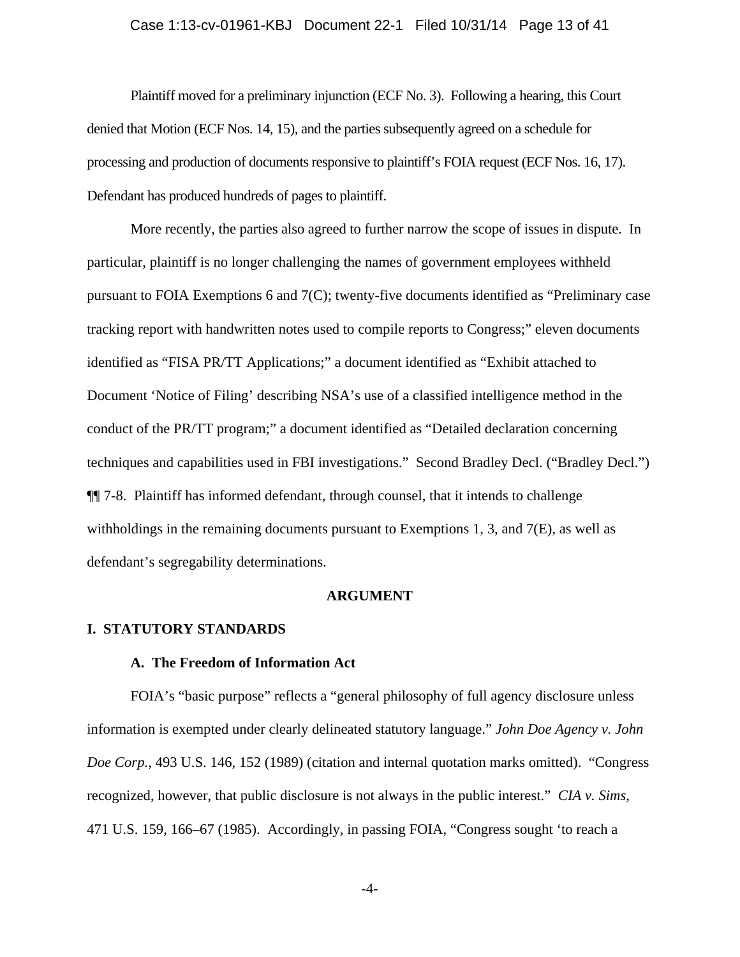# Case 1:13-cv-01961-KBJ Document 22-1 Filed 10/31/14 Page 13 of 41

 Plaintiff moved for a preliminary injunction (ECF No. 3). Following a hearing, this Court denied that Motion (ECF Nos. 14, 15), and the parties subsequently agreed on a schedule for processing and production of documents responsive to plaintiff's FOIA request (ECF Nos. 16, 17). Defendant has produced hundreds of pages to plaintiff.

More recently, the parties also agreed to further narrow the scope of issues in dispute. In particular, plaintiff is no longer challenging the names of government employees withheld pursuant to FOIA Exemptions 6 and 7(C); twenty-five documents identified as "Preliminary case tracking report with handwritten notes used to compile reports to Congress;" eleven documents identified as "FISA PR/TT Applications;" a document identified as "Exhibit attached to Document 'Notice of Filing' describing NSA's use of a classified intelligence method in the conduct of the PR/TT program;" a document identified as "Detailed declaration concerning techniques and capabilities used in FBI investigations." Second Bradley Decl. ("Bradley Decl.") ¶¶ 7-8. Plaintiff has informed defendant, through counsel, that it intends to challenge withholdings in the remaining documents pursuant to Exemptions 1, 3, and  $7(E)$ , as well as defendant's segregability determinations.

#### **ARGUMENT**

#### **I. STATUTORY STANDARDS**

#### **A. The Freedom of Information Act**

FOIA's "basic purpose" reflects a "general philosophy of full agency disclosure unless information is exempted under clearly delineated statutory language." *John Doe Agency v. John Doe Corp.*, 493 U.S. 146, 152 (1989) (citation and internal quotation marks omitted). "Congress recognized, however, that public disclosure is not always in the public interest." *CIA v. Sims*, 471 U.S. 159, 166–67 (1985). Accordingly, in passing FOIA, "Congress sought 'to reach a

-4-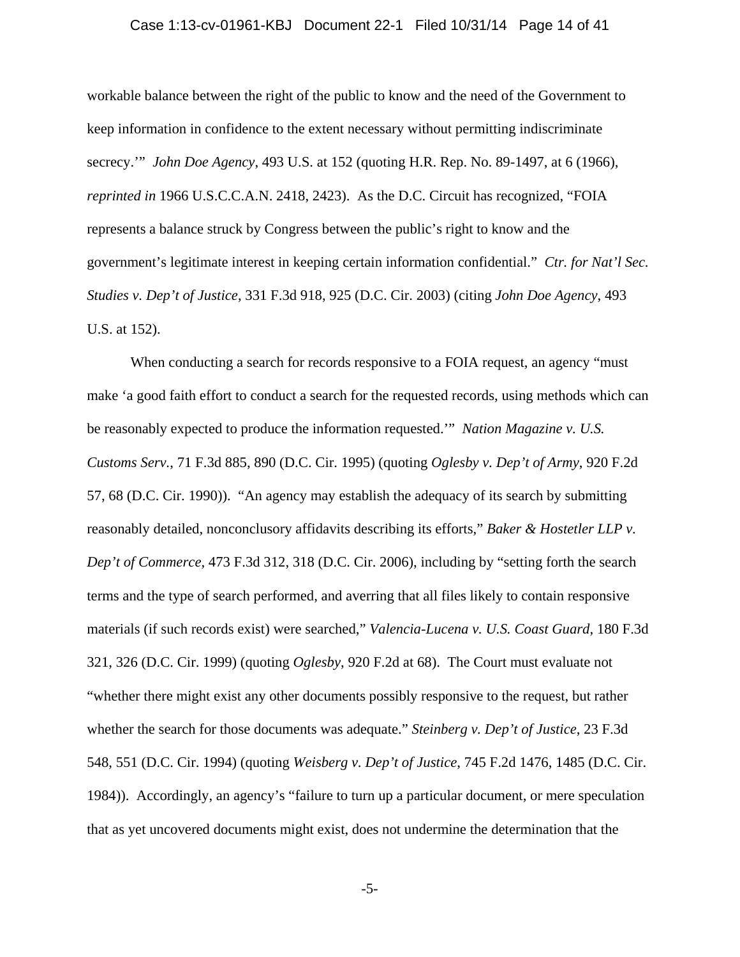#### Case 1:13-cv-01961-KBJ Document 22-1 Filed 10/31/14 Page 14 of 41

workable balance between the right of the public to know and the need of the Government to keep information in confidence to the extent necessary without permitting indiscriminate secrecy.'" *John Doe Agency*, 493 U.S. at 152 (quoting H.R. Rep. No. 89-1497, at 6 (1966), *reprinted in* 1966 U.S.C.C.A.N. 2418, 2423). As the D.C. Circuit has recognized, "FOIA represents a balance struck by Congress between the public's right to know and the government's legitimate interest in keeping certain information confidential." *Ctr. for Nat'l Sec. Studies v. Dep't of Justice*, 331 F.3d 918, 925 (D.C. Cir. 2003) (citing *John Doe Agency*, 493 U.S. at 152).

When conducting a search for records responsive to a FOIA request, an agency "must make 'a good faith effort to conduct a search for the requested records, using methods which can be reasonably expected to produce the information requested.'" *Nation Magazine v. U.S. Customs Serv.*, 71 F.3d 885, 890 (D.C. Cir. 1995) (quoting *Oglesby v. Dep't of Army*, 920 F.2d 57, 68 (D.C. Cir. 1990)). "An agency may establish the adequacy of its search by submitting reasonably detailed, nonconclusory affidavits describing its efforts," *Baker & Hostetler LLP v. Dep't of Commerce*, 473 F.3d 312, 318 (D.C. Cir. 2006), including by "setting forth the search terms and the type of search performed, and averring that all files likely to contain responsive materials (if such records exist) were searched," *Valencia-Lucena v. U.S. Coast Guard*, 180 F.3d 321, 326 (D.C. Cir. 1999) (quoting *Oglesby*, 920 F.2d at 68). The Court must evaluate not "whether there might exist any other documents possibly responsive to the request, but rather whether the search for those documents was adequate." *Steinberg v. Dep't of Justice*, 23 F.3d 548, 551 (D.C. Cir. 1994) (quoting *Weisberg v. Dep't of Justice*, 745 F.2d 1476, 1485 (D.C. Cir. 1984)). Accordingly, an agency's "failure to turn up a particular document, or mere speculation that as yet uncovered documents might exist, does not undermine the determination that the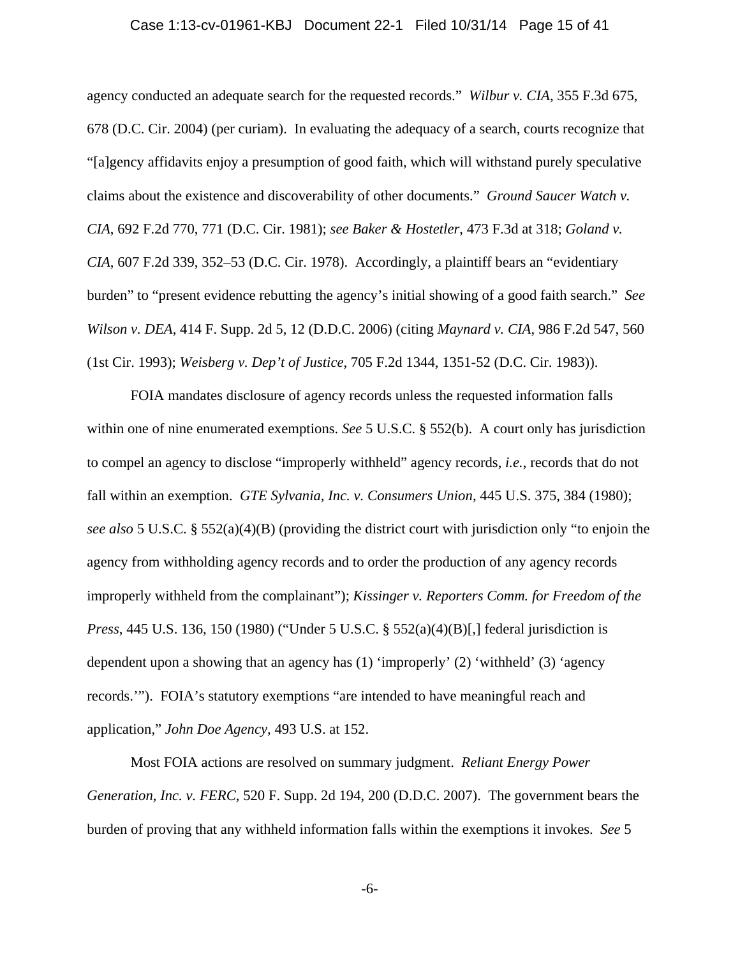#### Case 1:13-cv-01961-KBJ Document 22-1 Filed 10/31/14 Page 15 of 41

agency conducted an adequate search for the requested records." *Wilbur v. CIA*, 355 F.3d 675, 678 (D.C. Cir. 2004) (per curiam). In evaluating the adequacy of a search, courts recognize that "[a]gency affidavits enjoy a presumption of good faith, which will withstand purely speculative claims about the existence and discoverability of other documents." *Ground Saucer Watch v. CIA*, 692 F.2d 770, 771 (D.C. Cir. 1981); *see Baker & Hostetler*, 473 F.3d at 318; *Goland v. CIA*, 607 F.2d 339, 352–53 (D.C. Cir. 1978). Accordingly, a plaintiff bears an "evidentiary burden" to "present evidence rebutting the agency's initial showing of a good faith search." *See Wilson v. DEA*, 414 F. Supp. 2d 5, 12 (D.D.C. 2006) (citing *Maynard v. CIA*, 986 F.2d 547, 560 (1st Cir. 1993); *Weisberg v. Dep't of Justice*, 705 F.2d 1344, 1351-52 (D.C. Cir. 1983)).

FOIA mandates disclosure of agency records unless the requested information falls within one of nine enumerated exemptions. *See* 5 U.S.C. § 552(b). A court only has jurisdiction to compel an agency to disclose "improperly withheld" agency records, *i.e.*, records that do not fall within an exemption. *GTE Sylvania, Inc. v. Consumers Union*, 445 U.S. 375, 384 (1980); *see also* 5 U.S.C. § 552(a)(4)(B) (providing the district court with jurisdiction only "to enjoin the agency from withholding agency records and to order the production of any agency records improperly withheld from the complainant"); *Kissinger v. Reporters Comm. for Freedom of the Press*, 445 U.S. 136, 150 (1980) ("Under 5 U.S.C. § 552(a)(4)(B)[,] federal jurisdiction is dependent upon a showing that an agency has (1) 'improperly' (2) 'withheld' (3) 'agency records.'"). FOIA's statutory exemptions "are intended to have meaningful reach and application," *John Doe Agency*, 493 U.S. at 152.

Most FOIA actions are resolved on summary judgment. *Reliant Energy Power Generation, Inc. v. FERC*, 520 F. Supp. 2d 194, 200 (D.D.C. 2007). The government bears the burden of proving that any withheld information falls within the exemptions it invokes. *See* 5

-6-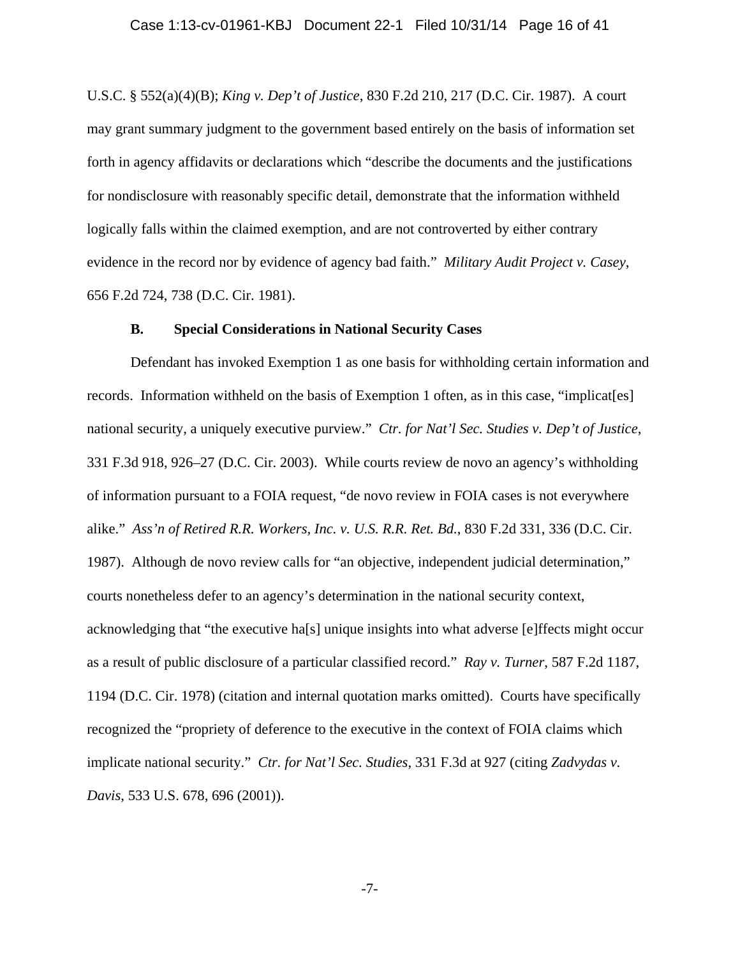U.S.C. § 552(a)(4)(B); *King v. Dep't of Justice*, 830 F.2d 210, 217 (D.C. Cir. 1987). A court may grant summary judgment to the government based entirely on the basis of information set forth in agency affidavits or declarations which "describe the documents and the justifications for nondisclosure with reasonably specific detail, demonstrate that the information withheld logically falls within the claimed exemption, and are not controverted by either contrary evidence in the record nor by evidence of agency bad faith." *Military Audit Project v. Casey*, 656 F.2d 724, 738 (D.C. Cir. 1981).

#### **B. Special Considerations in National Security Cases**

Defendant has invoked Exemption 1 as one basis for withholding certain information and records. Information withheld on the basis of Exemption 1 often, as in this case, "implicat[es] national security, a uniquely executive purview." *Ctr. for Nat'l Sec. Studies v. Dep't of Justice*, 331 F.3d 918, 926–27 (D.C. Cir. 2003). While courts review de novo an agency's withholding of information pursuant to a FOIA request, "de novo review in FOIA cases is not everywhere alike." *Ass'n of Retired R.R. Workers, Inc. v. U.S. R.R. Ret. Bd.*, 830 F.2d 331, 336 (D.C. Cir. 1987). Although de novo review calls for "an objective, independent judicial determination," courts nonetheless defer to an agency's determination in the national security context, acknowledging that "the executive ha[s] unique insights into what adverse [e]ffects might occur as a result of public disclosure of a particular classified record." *Ray v. Turner*, 587 F.2d 1187, 1194 (D.C. Cir. 1978) (citation and internal quotation marks omitted). Courts have specifically recognized the "propriety of deference to the executive in the context of FOIA claims which implicate national security." *Ctr. for Nat'l Sec. Studies*, 331 F.3d at 927 (citing *Zadvydas v. Davis*, 533 U.S. 678, 696 (2001)).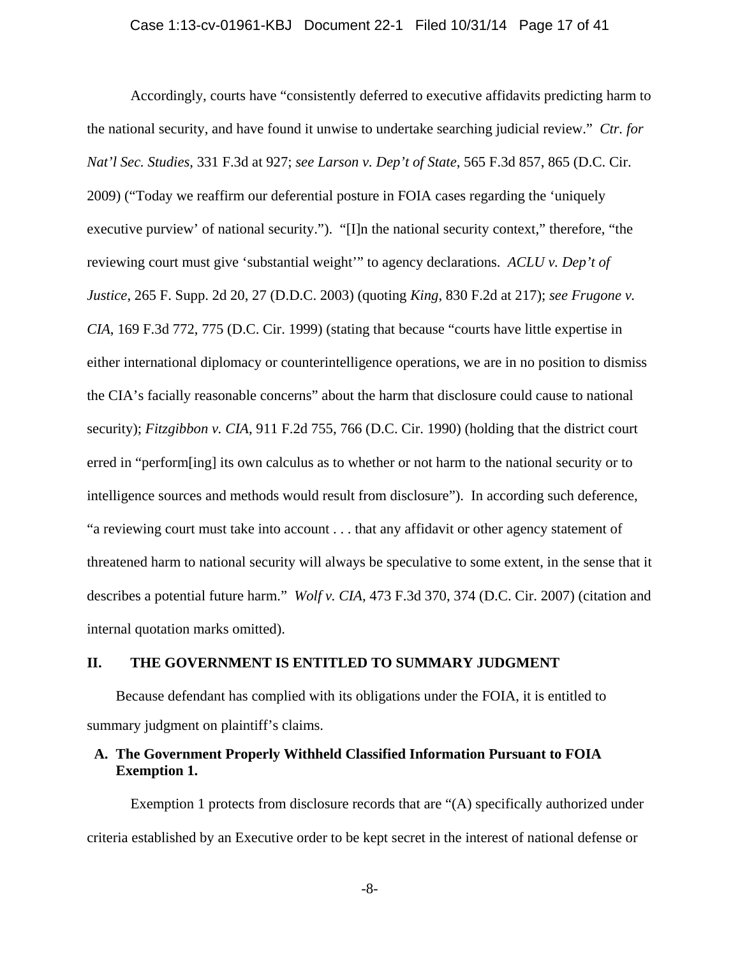Accordingly, courts have "consistently deferred to executive affidavits predicting harm to the national security, and have found it unwise to undertake searching judicial review." *Ctr. for Nat'l Sec. Studies*, 331 F.3d at 927; *see Larson v. Dep't of State*, 565 F.3d 857, 865 (D.C. Cir. 2009) ("Today we reaffirm our deferential posture in FOIA cases regarding the 'uniquely executive purview' of national security."). "[I]n the national security context," therefore, "the reviewing court must give 'substantial weight'" to agency declarations. *ACLU v. Dep't of Justice*, 265 F. Supp. 2d 20, 27 (D.D.C. 2003) (quoting *King*, 830 F.2d at 217); *see Frugone v. CIA*, 169 F.3d 772, 775 (D.C. Cir. 1999) (stating that because "courts have little expertise in either international diplomacy or counterintelligence operations, we are in no position to dismiss the CIA's facially reasonable concerns" about the harm that disclosure could cause to national security); *Fitzgibbon v. CIA*, 911 F.2d 755, 766 (D.C. Cir. 1990) (holding that the district court erred in "perform[ing] its own calculus as to whether or not harm to the national security or to intelligence sources and methods would result from disclosure"). In according such deference, "a reviewing court must take into account . . . that any affidavit or other agency statement of threatened harm to national security will always be speculative to some extent, in the sense that it describes a potential future harm." *Wolf v. CIA*, 473 F.3d 370, 374 (D.C. Cir. 2007) (citation and internal quotation marks omitted).

#### **II. THE GOVERNMENT IS ENTITLED TO SUMMARY JUDGMENT**

Because defendant has complied with its obligations under the FOIA, it is entitled to summary judgment on plaintiff's claims.

# **A. The Government Properly Withheld Classified Information Pursuant to FOIA Exemption 1.**

Exemption 1 protects from disclosure records that are "(A) specifically authorized under criteria established by an Executive order to be kept secret in the interest of national defense or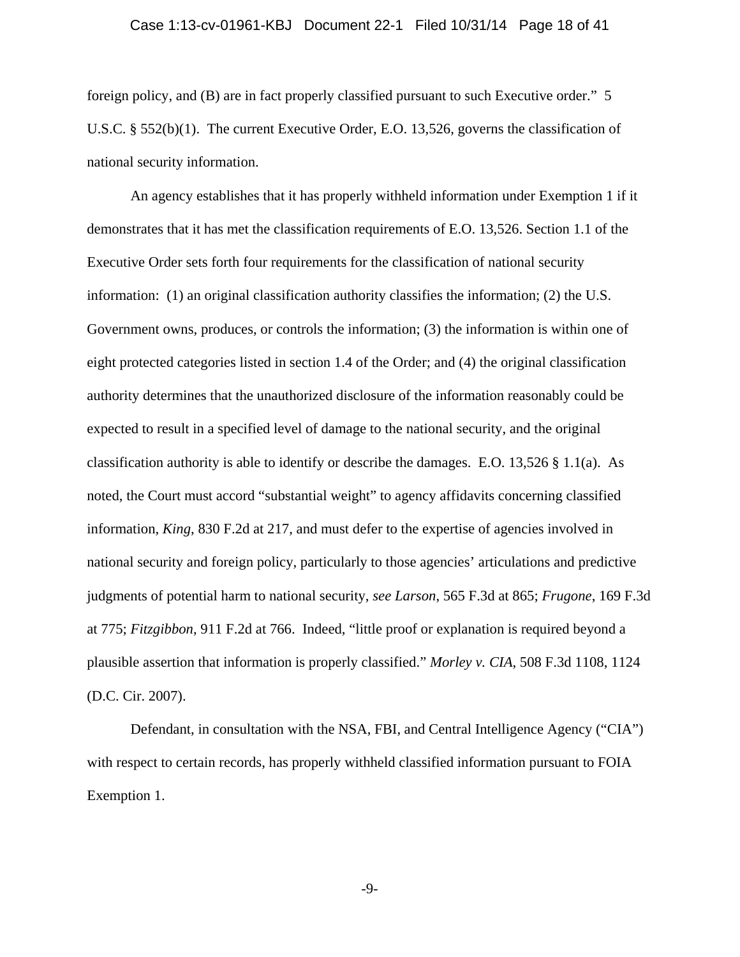# Case 1:13-cv-01961-KBJ Document 22-1 Filed 10/31/14 Page 18 of 41

foreign policy, and (B) are in fact properly classified pursuant to such Executive order." 5 U.S.C. § 552(b)(1). The current Executive Order, E.O. 13,526, governs the classification of national security information.

An agency establishes that it has properly withheld information under Exemption 1 if it demonstrates that it has met the classification requirements of E.O. 13,526. Section 1.1 of the Executive Order sets forth four requirements for the classification of national security information: (1) an original classification authority classifies the information; (2) the U.S. Government owns, produces, or controls the information; (3) the information is within one of eight protected categories listed in section 1.4 of the Order; and (4) the original classification authority determines that the unauthorized disclosure of the information reasonably could be expected to result in a specified level of damage to the national security, and the original classification authority is able to identify or describe the damages. E.O. 13,526  $\S$  1.1(a). As noted, the Court must accord "substantial weight" to agency affidavits concerning classified information, *King*, 830 F.2d at 217, and must defer to the expertise of agencies involved in national security and foreign policy, particularly to those agencies' articulations and predictive judgments of potential harm to national security, *see Larson*, 565 F.3d at 865; *Frugone*, 169 F.3d at 775; *Fitzgibbon*, 911 F.2d at 766. Indeed, "little proof or explanation is required beyond a plausible assertion that information is properly classified." *Morley v. CIA*, 508 F.3d 1108, 1124 (D.C. Cir. 2007).

Defendant, in consultation with the NSA, FBI, and Central Intelligence Agency ("CIA") with respect to certain records, has properly withheld classified information pursuant to FOIA Exemption 1.

-9-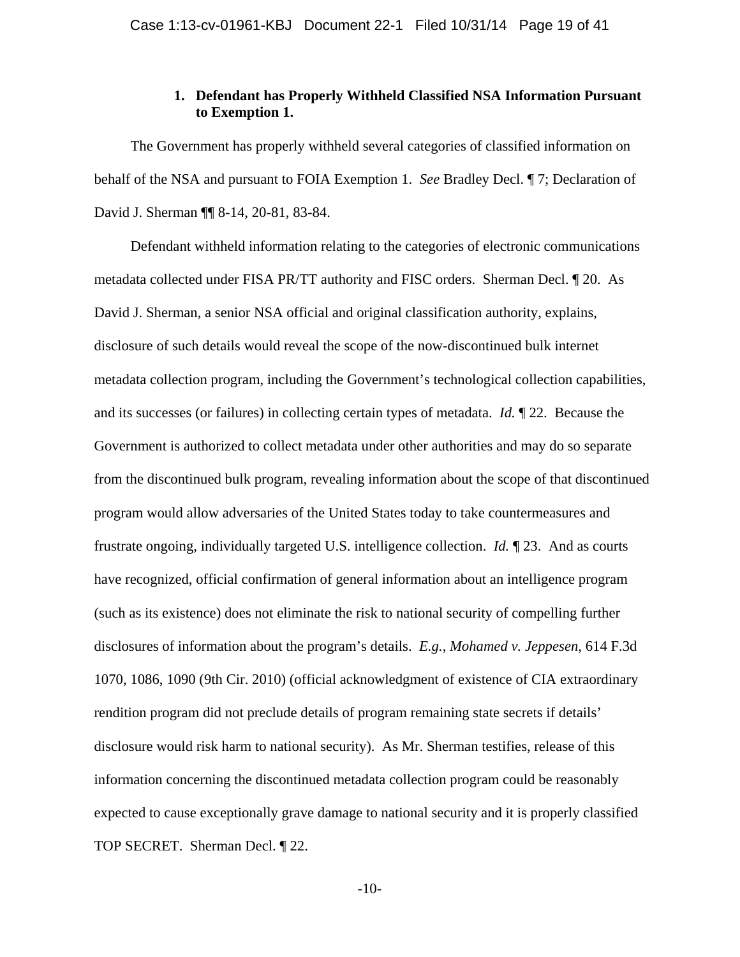## **1. Defendant has Properly Withheld Classified NSA Information Pursuant to Exemption 1.**

The Government has properly withheld several categories of classified information on behalf of the NSA and pursuant to FOIA Exemption 1. *See* Bradley Decl. ¶ 7; Declaration of David J. Sherman ¶¶ 8-14, 20-81, 83-84.

Defendant withheld information relating to the categories of electronic communications metadata collected under FISA PR/TT authority and FISC orders. Sherman Decl. ¶ 20. As David J. Sherman, a senior NSA official and original classification authority, explains, disclosure of such details would reveal the scope of the now-discontinued bulk internet metadata collection program, including the Government's technological collection capabilities, and its successes (or failures) in collecting certain types of metadata. *Id.* ¶ 22. Because the Government is authorized to collect metadata under other authorities and may do so separate from the discontinued bulk program, revealing information about the scope of that discontinued program would allow adversaries of the United States today to take countermeasures and frustrate ongoing, individually targeted U.S. intelligence collection. *Id.* ¶ 23. And as courts have recognized, official confirmation of general information about an intelligence program (such as its existence) does not eliminate the risk to national security of compelling further disclosures of information about the program's details. *E.g.*, *Mohamed v. Jeppesen*, 614 F.3d 1070, 1086, 1090 (9th Cir. 2010) (official acknowledgment of existence of CIA extraordinary rendition program did not preclude details of program remaining state secrets if details' disclosure would risk harm to national security). As Mr. Sherman testifies, release of this information concerning the discontinued metadata collection program could be reasonably expected to cause exceptionally grave damage to national security and it is properly classified TOP SECRET. Sherman Decl. ¶ 22.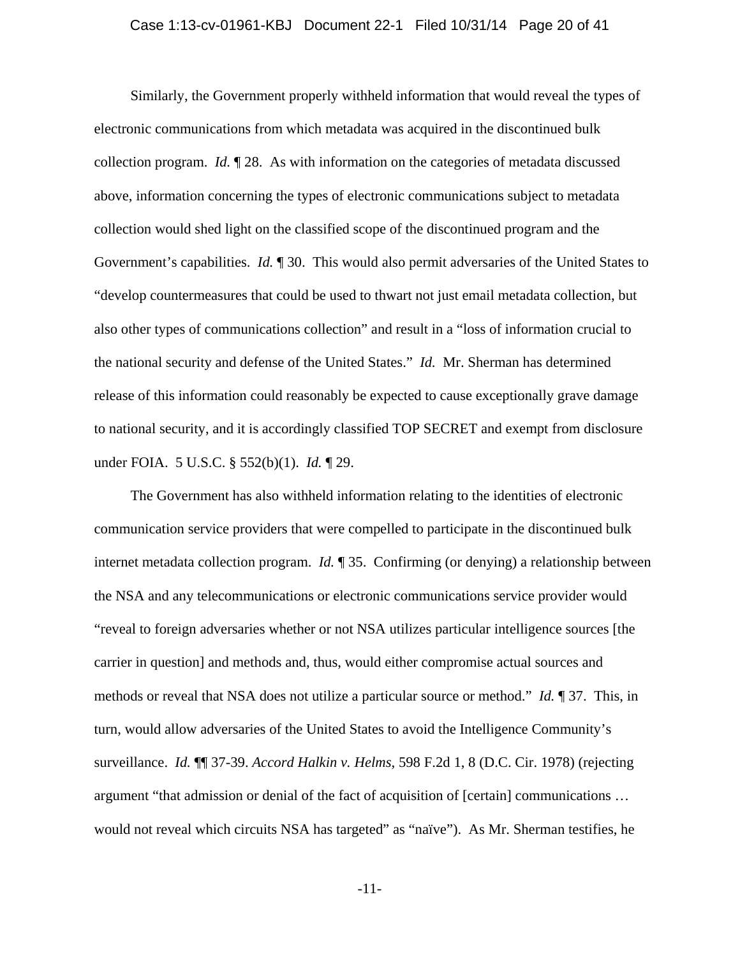#### Case 1:13-cv-01961-KBJ Document 22-1 Filed 10/31/14 Page 20 of 41

Similarly, the Government properly withheld information that would reveal the types of electronic communications from which metadata was acquired in the discontinued bulk collection program. *Id.* ¶ 28. As with information on the categories of metadata discussed above, information concerning the types of electronic communications subject to metadata collection would shed light on the classified scope of the discontinued program and the Government's capabilities. *Id.* ¶ 30. This would also permit adversaries of the United States to "develop countermeasures that could be used to thwart not just email metadata collection, but also other types of communications collection" and result in a "loss of information crucial to the national security and defense of the United States." *Id.* Mr. Sherman has determined release of this information could reasonably be expected to cause exceptionally grave damage to national security, and it is accordingly classified TOP SECRET and exempt from disclosure under FOIA. 5 U.S.C. § 552(b)(1). *Id.* ¶ 29.

The Government has also withheld information relating to the identities of electronic communication service providers that were compelled to participate in the discontinued bulk internet metadata collection program. *Id.* ¶ 35. Confirming (or denying) a relationship between the NSA and any telecommunications or electronic communications service provider would "reveal to foreign adversaries whether or not NSA utilizes particular intelligence sources [the carrier in question] and methods and, thus, would either compromise actual sources and methods or reveal that NSA does not utilize a particular source or method." *Id.* ¶ 37. This, in turn, would allow adversaries of the United States to avoid the Intelligence Community's surveillance. *Id.* ¶¶ 37-39. *Accord Halkin v. Helms*, 598 F.2d 1, 8 (D.C. Cir. 1978) (rejecting argument "that admission or denial of the fact of acquisition of [certain] communications … would not reveal which circuits NSA has targeted" as "naïve"). As Mr. Sherman testifies, he

-11-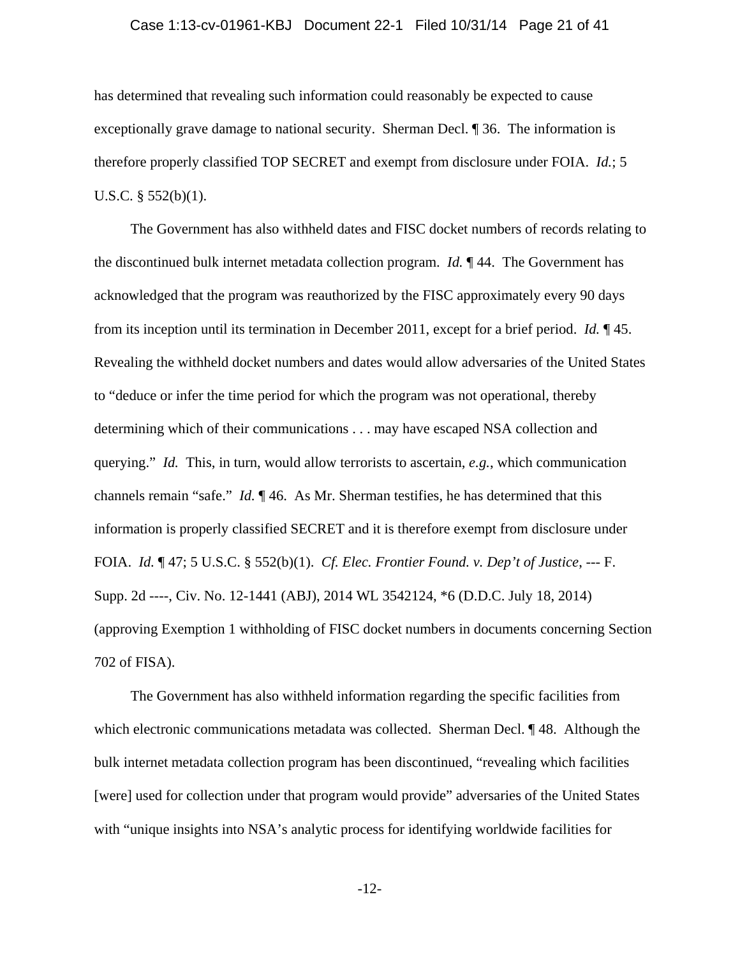# Case 1:13-cv-01961-KBJ Document 22-1 Filed 10/31/14 Page 21 of 41

has determined that revealing such information could reasonably be expected to cause exceptionally grave damage to national security. Sherman Decl. ¶ 36. The information is therefore properly classified TOP SECRET and exempt from disclosure under FOIA. *Id.*; 5 U.S.C. § 552(b)(1).

The Government has also withheld dates and FISC docket numbers of records relating to the discontinued bulk internet metadata collection program. *Id.* ¶ 44. The Government has acknowledged that the program was reauthorized by the FISC approximately every 90 days from its inception until its termination in December 2011, except for a brief period. *Id.* ¶ 45. Revealing the withheld docket numbers and dates would allow adversaries of the United States to "deduce or infer the time period for which the program was not operational, thereby determining which of their communications . . . may have escaped NSA collection and querying." *Id.* This, in turn, would allow terrorists to ascertain, *e.g.*, which communication channels remain "safe." *Id.* ¶ 46. As Mr. Sherman testifies, he has determined that this information is properly classified SECRET and it is therefore exempt from disclosure under FOIA. *Id.* ¶ 47; 5 U.S.C. § 552(b)(1). *Cf. Elec. Frontier Found. v. Dep't of Justice*, --- F. Supp. 2d ----, Civ. No. 12-1441 (ABJ), 2014 WL 3542124, \*6 (D.D.C. July 18, 2014) (approving Exemption 1 withholding of FISC docket numbers in documents concerning Section 702 of FISA).

The Government has also withheld information regarding the specific facilities from which electronic communications metadata was collected. Sherman Decl.  $\P$  48. Although the bulk internet metadata collection program has been discontinued, "revealing which facilities [were] used for collection under that program would provide" adversaries of the United States with "unique insights into NSA's analytic process for identifying worldwide facilities for

-12-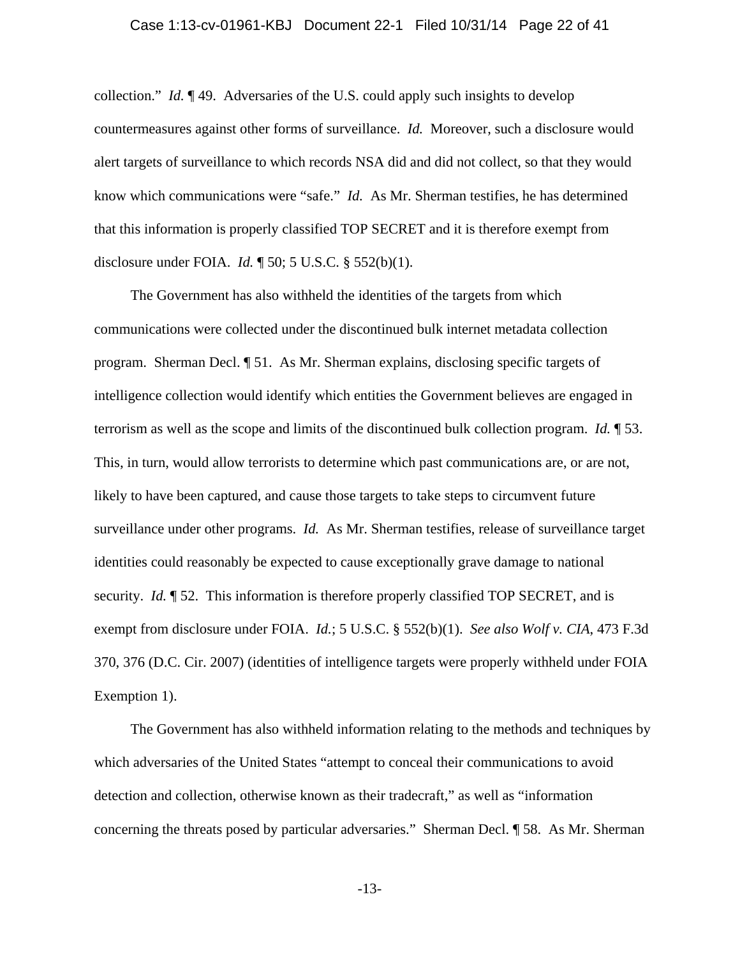collection." *Id.* ¶ 49. Adversaries of the U.S. could apply such insights to develop countermeasures against other forms of surveillance. *Id.* Moreover, such a disclosure would alert targets of surveillance to which records NSA did and did not collect, so that they would know which communications were "safe." *Id.* As Mr. Sherman testifies, he has determined that this information is properly classified TOP SECRET and it is therefore exempt from disclosure under FOIA. *Id.* ¶ 50; 5 U.S.C. § 552(b)(1).

The Government has also withheld the identities of the targets from which communications were collected under the discontinued bulk internet metadata collection program. Sherman Decl. ¶ 51. As Mr. Sherman explains, disclosing specific targets of intelligence collection would identify which entities the Government believes are engaged in terrorism as well as the scope and limits of the discontinued bulk collection program. *Id.* ¶ 53. This, in turn, would allow terrorists to determine which past communications are, or are not, likely to have been captured, and cause those targets to take steps to circumvent future surveillance under other programs. *Id.* As Mr. Sherman testifies, release of surveillance target identities could reasonably be expected to cause exceptionally grave damage to national security. *Id.* ¶ 52. This information is therefore properly classified TOP SECRET, and is exempt from disclosure under FOIA. *Id.*; 5 U.S.C. § 552(b)(1). *See also Wolf v. CIA*, 473 F.3d 370, 376 (D.C. Cir. 2007) (identities of intelligence targets were properly withheld under FOIA Exemption 1).

The Government has also withheld information relating to the methods and techniques by which adversaries of the United States "attempt to conceal their communications to avoid detection and collection, otherwise known as their tradecraft," as well as "information concerning the threats posed by particular adversaries." Sherman Decl. ¶ 58. As Mr. Sherman

-13-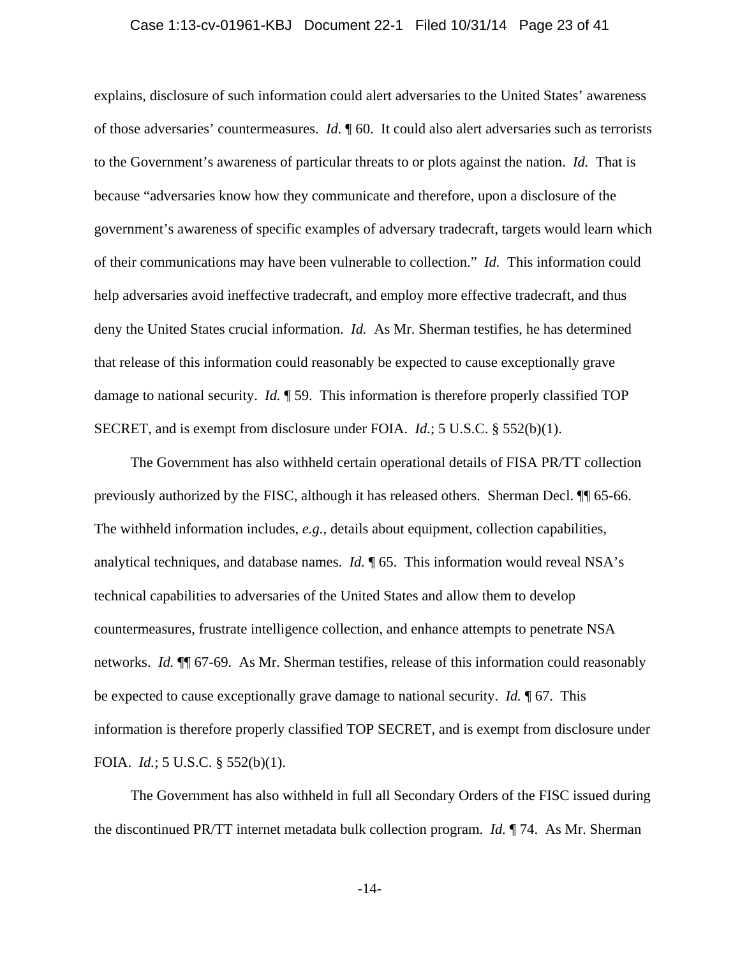#### Case 1:13-cv-01961-KBJ Document 22-1 Filed 10/31/14 Page 23 of 41

explains, disclosure of such information could alert adversaries to the United States' awareness of those adversaries' countermeasures. *Id.* ¶ 60. It could also alert adversaries such as terrorists to the Government's awareness of particular threats to or plots against the nation. *Id.* That is because "adversaries know how they communicate and therefore, upon a disclosure of the government's awareness of specific examples of adversary tradecraft, targets would learn which of their communications may have been vulnerable to collection." *Id.* This information could help adversaries avoid ineffective tradecraft, and employ more effective tradecraft, and thus deny the United States crucial information. *Id.* As Mr. Sherman testifies, he has determined that release of this information could reasonably be expected to cause exceptionally grave damage to national security. *Id.* ¶ 59. This information is therefore properly classified TOP SECRET, and is exempt from disclosure under FOIA. *Id.*; 5 U.S.C. § 552(b)(1).

The Government has also withheld certain operational details of FISA PR/TT collection previously authorized by the FISC, although it has released others. Sherman Decl. ¶¶ 65-66. The withheld information includes, *e.g.*, details about equipment, collection capabilities, analytical techniques, and database names. *Id.* ¶ 65. This information would reveal NSA's technical capabilities to adversaries of the United States and allow them to develop countermeasures, frustrate intelligence collection, and enhance attempts to penetrate NSA networks. *Id.* ¶¶ 67-69. As Mr. Sherman testifies, release of this information could reasonably be expected to cause exceptionally grave damage to national security. *Id.* ¶ 67. This information is therefore properly classified TOP SECRET, and is exempt from disclosure under FOIA. *Id.*; 5 U.S.C. § 552(b)(1).

 The Government has also withheld in full all Secondary Orders of the FISC issued during the discontinued PR/TT internet metadata bulk collection program. *Id.* ¶ 74. As Mr. Sherman

-14-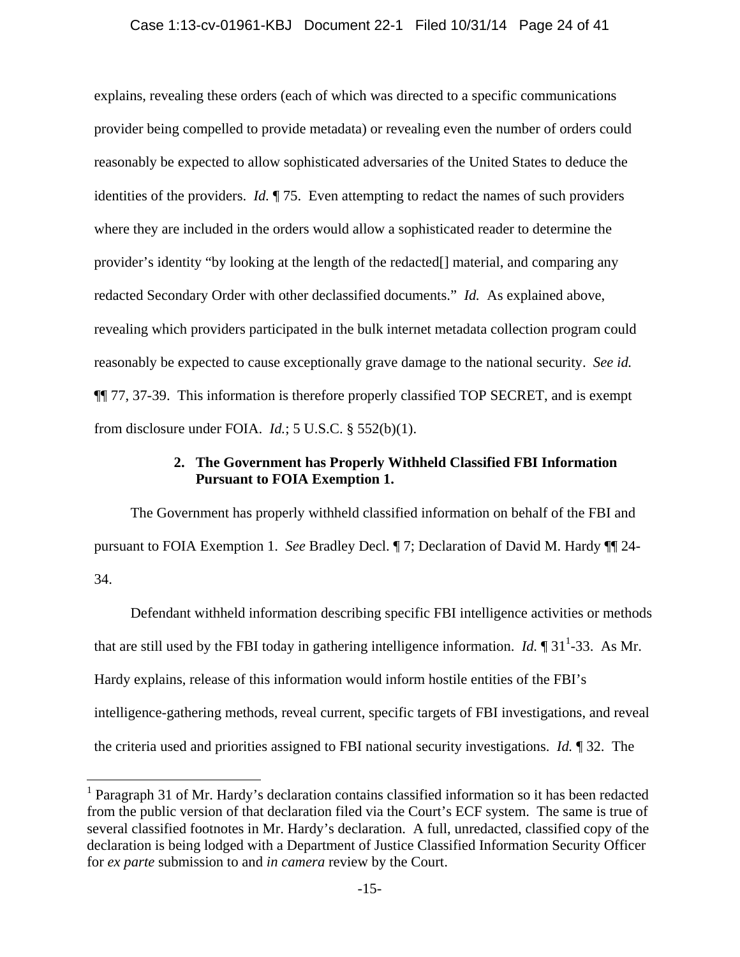#### Case 1:13-cv-01961-KBJ Document 22-1 Filed 10/31/14 Page 24 of 41

explains, revealing these orders (each of which was directed to a specific communications provider being compelled to provide metadata) or revealing even the number of orders could reasonably be expected to allow sophisticated adversaries of the United States to deduce the identities of the providers. *Id.* ¶ 75. Even attempting to redact the names of such providers where they are included in the orders would allow a sophisticated reader to determine the provider's identity "by looking at the length of the redacted[] material, and comparing any redacted Secondary Order with other declassified documents." *Id.* As explained above, revealing which providers participated in the bulk internet metadata collection program could reasonably be expected to cause exceptionally grave damage to the national security. *See id.* ¶¶ 77, 37-39. This information is therefore properly classified TOP SECRET, and is exempt from disclosure under FOIA. *Id.*; 5 U.S.C. § 552(b)(1).

# **2. The Government has Properly Withheld Classified FBI Information Pursuant to FOIA Exemption 1.**

The Government has properly withheld classified information on behalf of the FBI and pursuant to FOIA Exemption 1. *See* Bradley Decl. ¶ 7; Declaration of David M. Hardy ¶¶ 24- 34.

Defendant withheld information describing specific FBI intelligence activities or methods that are still used by the FBI today in gathering intelligence information. *Id.*  $\P$  31<sup>1</sup>-33. As Mr. Hardy explains, release of this information would inform hostile entities of the FBI's intelligence-gathering methods, reveal current, specific targets of FBI investigations, and reveal the criteria used and priorities assigned to FBI national security investigations. *Id.* ¶ 32. The

1

<sup>&</sup>lt;sup>1</sup> Paragraph 31 of Mr. Hardy's declaration contains classified information so it has been redacted from the public version of that declaration filed via the Court's ECF system. The same is true of several classified footnotes in Mr. Hardy's declaration. A full, unredacted, classified copy of the declaration is being lodged with a Department of Justice Classified Information Security Officer for *ex parte* submission to and *in camera* review by the Court.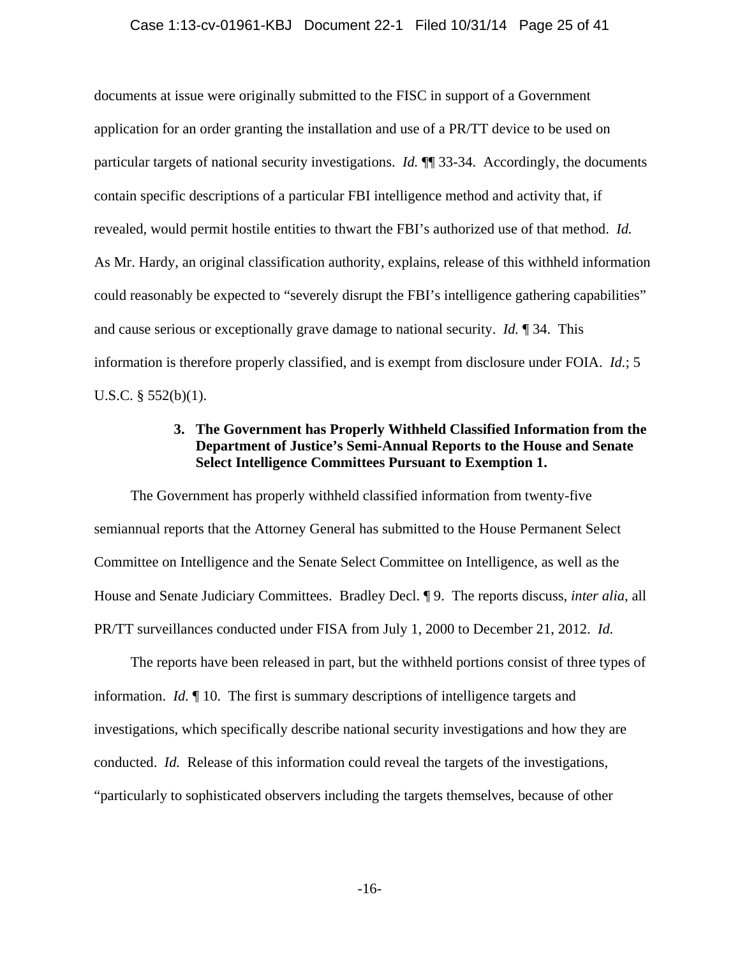documents at issue were originally submitted to the FISC in support of a Government application for an order granting the installation and use of a PR/TT device to be used on particular targets of national security investigations. *Id.* ¶¶ 33-34. Accordingly, the documents contain specific descriptions of a particular FBI intelligence method and activity that, if revealed, would permit hostile entities to thwart the FBI's authorized use of that method. *Id.* As Mr. Hardy, an original classification authority, explains, release of this withheld information could reasonably be expected to "severely disrupt the FBI's intelligence gathering capabilities" and cause serious or exceptionally grave damage to national security. *Id.* ¶ 34. This information is therefore properly classified, and is exempt from disclosure under FOIA. *Id.*; 5 U.S.C.  $\S$  552(b)(1).

# **3. The Government has Properly Withheld Classified Information from the Department of Justice's Semi-Annual Reports to the House and Senate Select Intelligence Committees Pursuant to Exemption 1.**

The Government has properly withheld classified information from twenty-five semiannual reports that the Attorney General has submitted to the House Permanent Select Committee on Intelligence and the Senate Select Committee on Intelligence, as well as the House and Senate Judiciary Committees. Bradley Decl. ¶ 9. The reports discuss, *inter alia*, all PR/TT surveillances conducted under FISA from July 1, 2000 to December 21, 2012. *Id.*

The reports have been released in part, but the withheld portions consist of three types of information. *Id.* ¶ 10. The first is summary descriptions of intelligence targets and investigations, which specifically describe national security investigations and how they are conducted. *Id.* Release of this information could reveal the targets of the investigations, "particularly to sophisticated observers including the targets themselves, because of other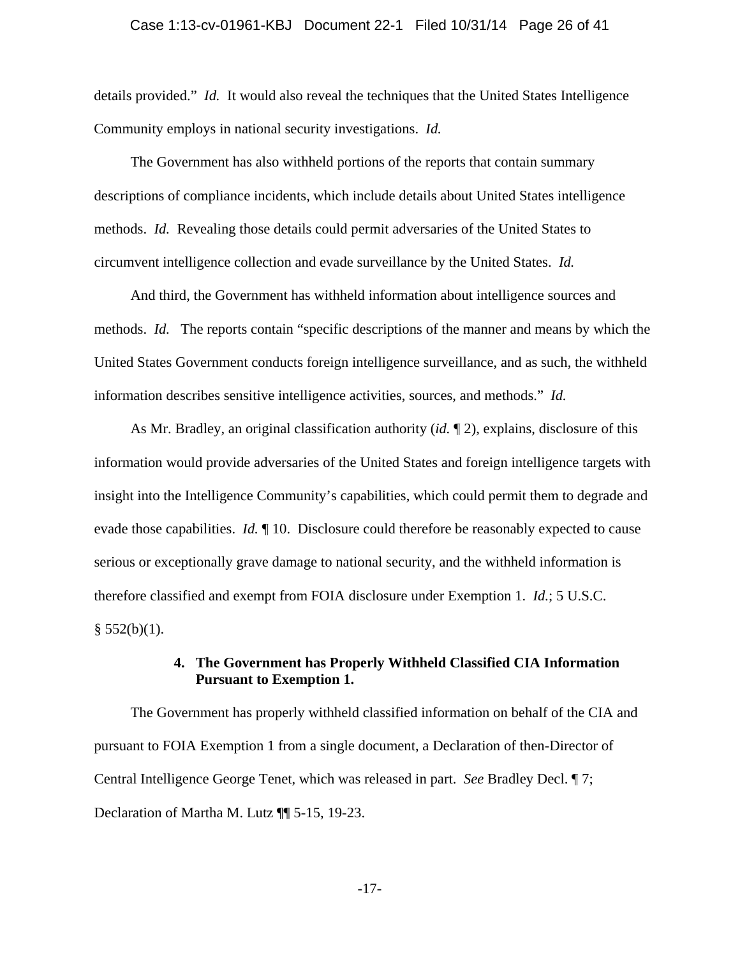details provided." *Id.* It would also reveal the techniques that the United States Intelligence Community employs in national security investigations. *Id.*

The Government has also withheld portions of the reports that contain summary descriptions of compliance incidents, which include details about United States intelligence methods. *Id.* Revealing those details could permit adversaries of the United States to circumvent intelligence collection and evade surveillance by the United States. *Id.*

And third, the Government has withheld information about intelligence sources and methods. *Id.* The reports contain "specific descriptions of the manner and means by which the United States Government conducts foreign intelligence surveillance, and as such, the withheld information describes sensitive intelligence activities, sources, and methods." *Id.*

As Mr. Bradley, an original classification authority (*id.* ¶ 2), explains, disclosure of this information would provide adversaries of the United States and foreign intelligence targets with insight into the Intelligence Community's capabilities, which could permit them to degrade and evade those capabilities. *Id.* ¶ 10. Disclosure could therefore be reasonably expected to cause serious or exceptionally grave damage to national security, and the withheld information is therefore classified and exempt from FOIA disclosure under Exemption 1. *Id.*; 5 U.S.C.  $§ 552(b)(1).$ 

# **4. The Government has Properly Withheld Classified CIA Information Pursuant to Exemption 1.**

The Government has properly withheld classified information on behalf of the CIA and pursuant to FOIA Exemption 1 from a single document, a Declaration of then-Director of Central Intelligence George Tenet, which was released in part. *See* Bradley Decl. ¶ 7; Declaration of Martha M. Lutz ¶¶ 5-15, 19-23.

-17-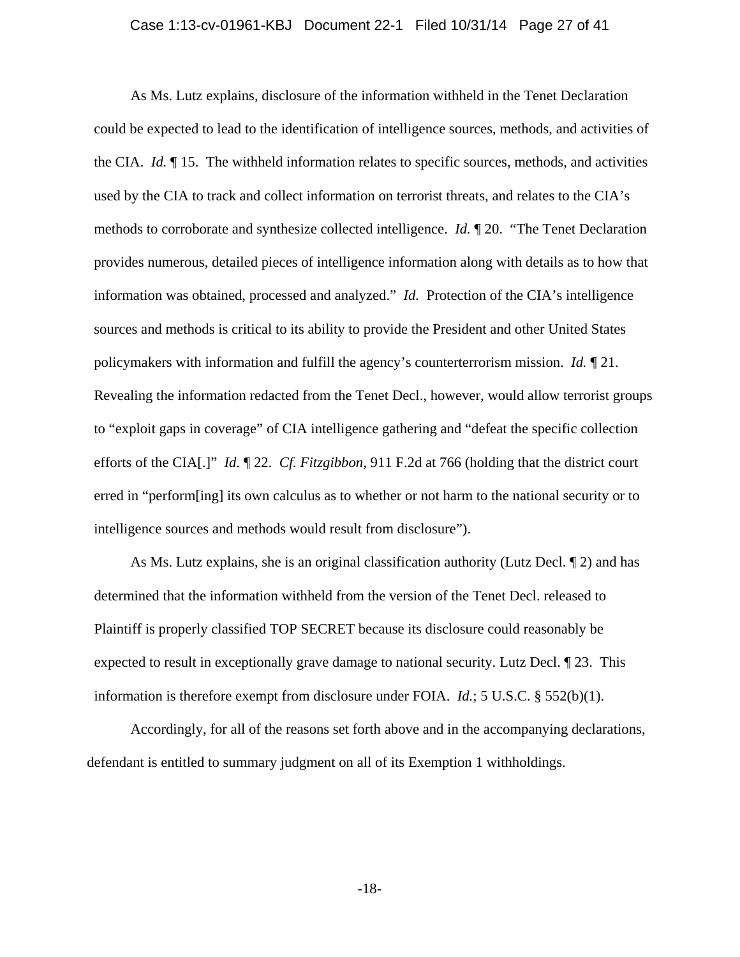#### Case 1:13-cv-01961-KBJ Document 22-1 Filed 10/31/14 Page 27 of 41

As Ms. Lutz explains, disclosure of the information withheld in the Tenet Declaration could be expected to lead to the identification of intelligence sources, methods, and activities of the CIA. *Id.* ¶ 15. The withheld information relates to specific sources, methods, and activities used by the CIA to track and collect information on terrorist threats, and relates to the CIA's methods to corroborate and synthesize collected intelligence. *Id.* ¶ 20. "The Tenet Declaration provides numerous, detailed pieces of intelligence information along with details as to how that information was obtained, processed and analyzed." *Id.* Protection of the CIA's intelligence sources and methods is critical to its ability to provide the President and other United States policymakers with information and fulfill the agency's counterterrorism mission. *Id.* ¶ 21. Revealing the information redacted from the Tenet Decl., however, would allow terrorist groups to "exploit gaps in coverage" of CIA intelligence gathering and "defeat the specific collection efforts of the CIA[.]" *Id.* ¶ 22. *Cf. Fitzgibbon*, 911 F.2d at 766 (holding that the district court erred in "perform[ing] its own calculus as to whether or not harm to the national security or to intelligence sources and methods would result from disclosure").

As Ms. Lutz explains, she is an original classification authority (Lutz Decl. ¶ 2) and has determined that the information withheld from the version of the Tenet Decl. released to Plaintiff is properly classified TOP SECRET because its disclosure could reasonably be expected to result in exceptionally grave damage to national security. Lutz Decl. ¶ 23. This information is therefore exempt from disclosure under FOIA. *Id.*; 5 U.S.C. § 552(b)(1).

Accordingly, for all of the reasons set forth above and in the accompanying declarations, defendant is entitled to summary judgment on all of its Exemption 1 withholdings.

-18-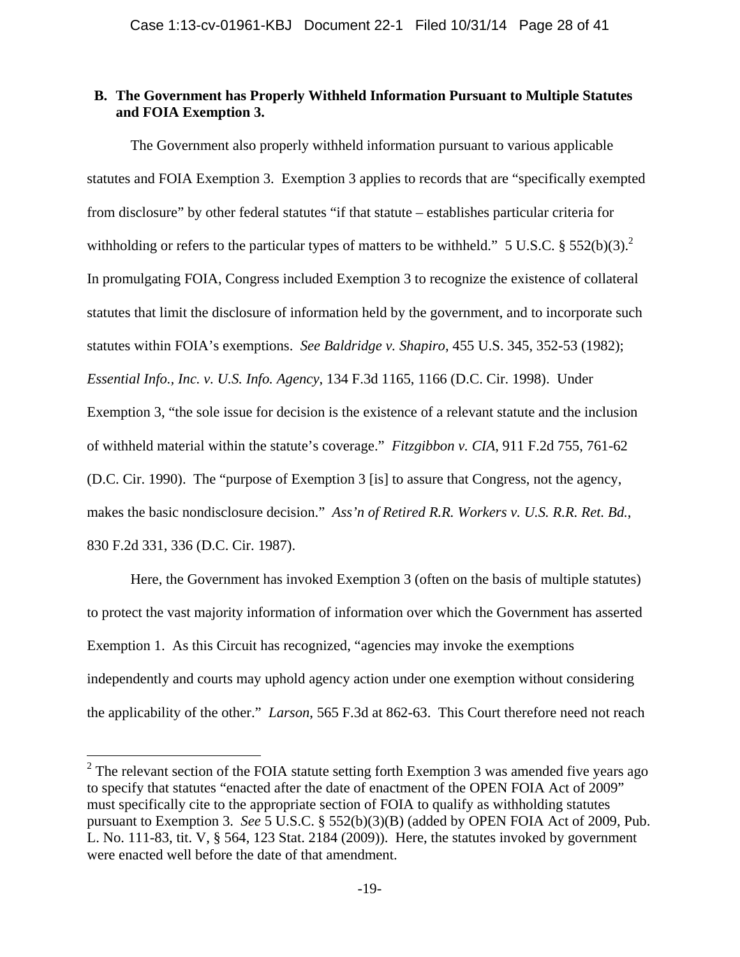# **B. The Government has Properly Withheld Information Pursuant to Multiple Statutes and FOIA Exemption 3.**

The Government also properly withheld information pursuant to various applicable statutes and FOIA Exemption 3. Exemption 3 applies to records that are "specifically exempted from disclosure" by other federal statutes "if that statute – establishes particular criteria for withholding or refers to the particular types of matters to be withheld." 5 U.S.C.  $\S 552(b)(3)$ .<sup>2</sup> In promulgating FOIA, Congress included Exemption 3 to recognize the existence of collateral statutes that limit the disclosure of information held by the government, and to incorporate such statutes within FOIA's exemptions. *See Baldridge v. Shapiro*, 455 U.S. 345, 352-53 (1982); *Essential Info., Inc. v. U.S. Info. Agency*, 134 F.3d 1165, 1166 (D.C. Cir. 1998). Under Exemption 3, "the sole issue for decision is the existence of a relevant statute and the inclusion of withheld material within the statute's coverage." *Fitzgibbon v. CIA*, 911 F.2d 755, 761-62 (D.C. Cir. 1990). The "purpose of Exemption 3 [is] to assure that Congress, not the agency, makes the basic nondisclosure decision." *Ass'n of Retired R.R. Workers v. U.S. R.R. Ret. Bd.*, 830 F.2d 331, 336 (D.C. Cir. 1987).

Here, the Government has invoked Exemption 3 (often on the basis of multiple statutes) to protect the vast majority information of information over which the Government has asserted Exemption 1. As this Circuit has recognized, "agencies may invoke the exemptions independently and courts may uphold agency action under one exemption without considering the applicability of the other." *Larson*, 565 F.3d at 862-63. This Court therefore need not reach

 $2^2$  The relevant section of the FOIA statute setting forth Exemption 3 was amended five years ago to specify that statutes "enacted after the date of enactment of the OPEN FOIA Act of 2009" must specifically cite to the appropriate section of FOIA to qualify as withholding statutes pursuant to Exemption 3. *See* 5 U.S.C. § 552(b)(3)(B) (added by OPEN FOIA Act of 2009, Pub. L. No. 111-83, tit. V, § 564, 123 Stat. 2184 (2009)). Here, the statutes invoked by government were enacted well before the date of that amendment.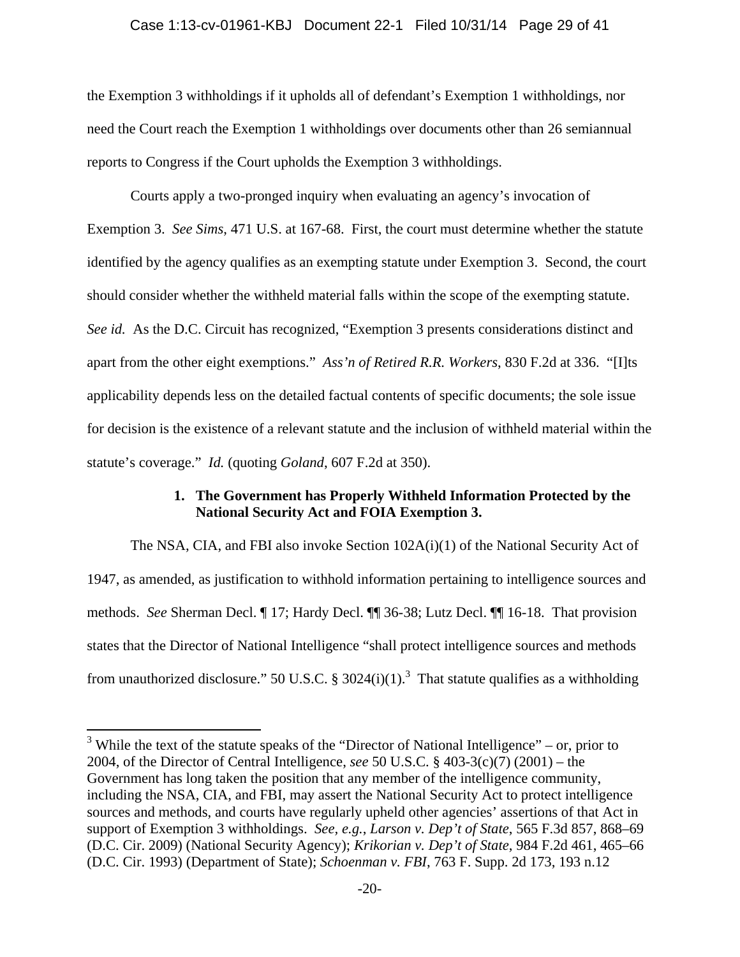#### Case 1:13-cv-01961-KBJ Document 22-1 Filed 10/31/14 Page 29 of 41

the Exemption 3 withholdings if it upholds all of defendant's Exemption 1 withholdings, nor need the Court reach the Exemption 1 withholdings over documents other than 26 semiannual reports to Congress if the Court upholds the Exemption 3 withholdings.

Courts apply a two-pronged inquiry when evaluating an agency's invocation of Exemption 3. *See Sims*, 471 U.S. at 167-68. First, the court must determine whether the statute identified by the agency qualifies as an exempting statute under Exemption 3. Second, the court should consider whether the withheld material falls within the scope of the exempting statute. *See id.* As the D.C. Circuit has recognized, "Exemption 3 presents considerations distinct and apart from the other eight exemptions." *Ass'n of Retired R.R. Workers*, 830 F.2d at 336. "[I]ts applicability depends less on the detailed factual contents of specific documents; the sole issue for decision is the existence of a relevant statute and the inclusion of withheld material within the statute's coverage." *Id.* (quoting *Goland*, 607 F.2d at 350).

# **1. The Government has Properly Withheld Information Protected by the National Security Act and FOIA Exemption 3.**

The NSA, CIA, and FBI also invoke Section 102A(i)(1) of the National Security Act of 1947, as amended, as justification to withhold information pertaining to intelligence sources and methods. *See* Sherman Decl. ¶ 17; Hardy Decl. ¶¶ 36-38; Lutz Decl. ¶¶ 16-18. That provision states that the Director of National Intelligence "shall protect intelligence sources and methods from unauthorized disclosure." 50 U.S.C. § 3024(i)(1).<sup>3</sup> That statute qualifies as a withholding

<sup>&</sup>lt;sup>3</sup> While the text of the statute speaks of the "Director of National Intelligence" – or, prior to 2004, of the Director of Central Intelligence, *see* 50 U.S.C. § 403-3(c)(7) (2001) – the Government has long taken the position that any member of the intelligence community, including the NSA, CIA, and FBI, may assert the National Security Act to protect intelligence sources and methods, and courts have regularly upheld other agencies' assertions of that Act in support of Exemption 3 withholdings. *See, e.g.*, *Larson v. Dep't of State*, 565 F.3d 857, 868–69 (D.C. Cir. 2009) (National Security Agency); *Krikorian v. Dep't of State*, 984 F.2d 461, 465–66 (D.C. Cir. 1993) (Department of State); *Schoenman v. FBI*, 763 F. Supp. 2d 173, 193 n.12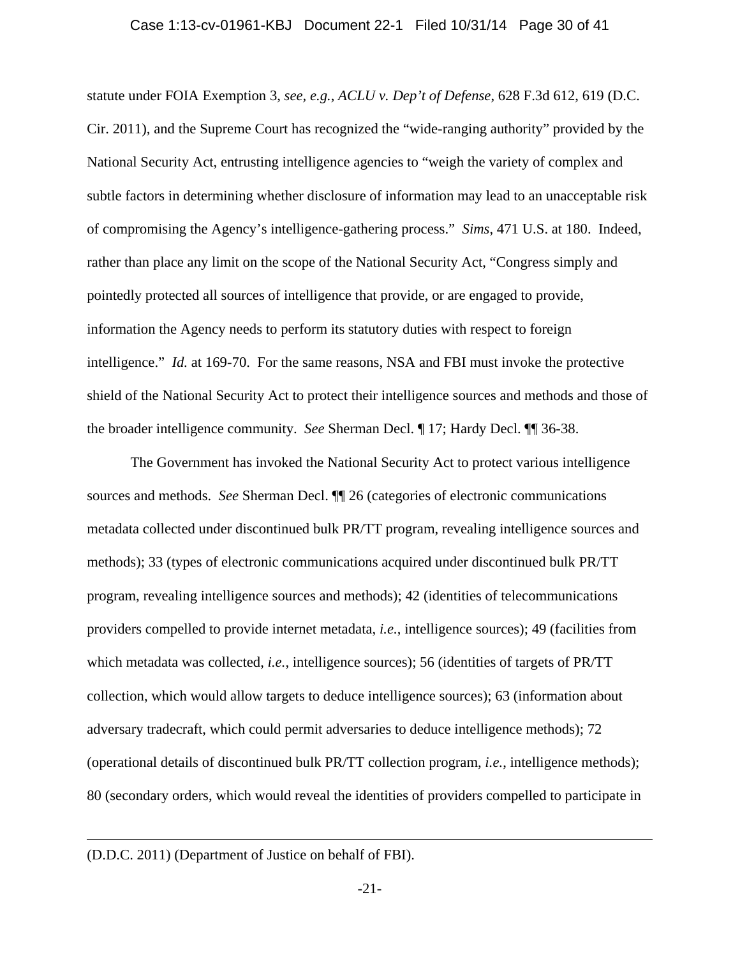statute under FOIA Exemption 3, *see, e.g.*, *ACLU v. Dep't of Defense*, 628 F.3d 612, 619 (D.C. Cir. 2011), and the Supreme Court has recognized the "wide-ranging authority" provided by the National Security Act, entrusting intelligence agencies to "weigh the variety of complex and subtle factors in determining whether disclosure of information may lead to an unacceptable risk of compromising the Agency's intelligence-gathering process." *Sims*, 471 U.S. at 180. Indeed, rather than place any limit on the scope of the National Security Act, "Congress simply and pointedly protected all sources of intelligence that provide, or are engaged to provide, information the Agency needs to perform its statutory duties with respect to foreign intelligence." *Id.* at 169-70. For the same reasons, NSA and FBI must invoke the protective shield of the National Security Act to protect their intelligence sources and methods and those of the broader intelligence community. *See* Sherman Decl. ¶ 17; Hardy Decl. ¶¶ 36-38.

The Government has invoked the National Security Act to protect various intelligence sources and methods. *See* Sherman Decl. ¶¶ 26 (categories of electronic communications metadata collected under discontinued bulk PR/TT program, revealing intelligence sources and methods); 33 (types of electronic communications acquired under discontinued bulk PR/TT program, revealing intelligence sources and methods); 42 (identities of telecommunications providers compelled to provide internet metadata, *i.e.*, intelligence sources); 49 (facilities from which metadata was collected, *i.e.*, intelligence sources); 56 (identities of targets of PR/TT collection, which would allow targets to deduce intelligence sources); 63 (information about adversary tradecraft, which could permit adversaries to deduce intelligence methods); 72 (operational details of discontinued bulk PR/TT collection program, *i.e.*, intelligence methods); 80 (secondary orders, which would reveal the identities of providers compelled to participate in

<sup>(</sup>D.D.C. 2011) (Department of Justice on behalf of FBI).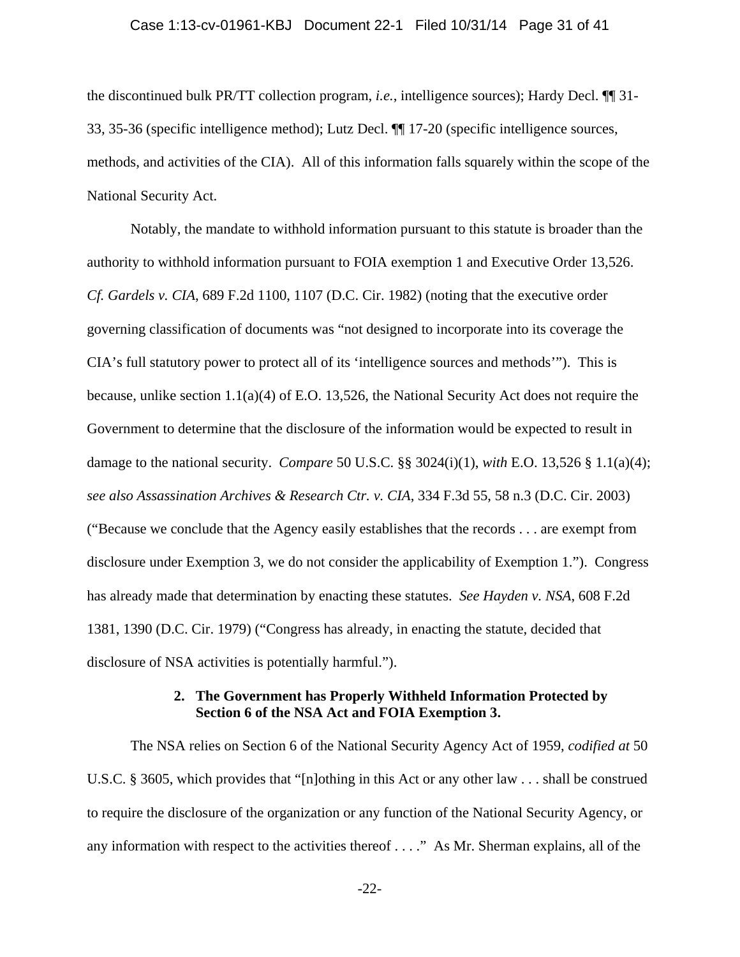# Case 1:13-cv-01961-KBJ Document 22-1 Filed 10/31/14 Page 31 of 41

the discontinued bulk PR/TT collection program, *i.e.*, intelligence sources); Hardy Decl. ¶¶ 31- 33, 35-36 (specific intelligence method); Lutz Decl. ¶¶ 17-20 (specific intelligence sources, methods, and activities of the CIA). All of this information falls squarely within the scope of the National Security Act.

Notably, the mandate to withhold information pursuant to this statute is broader than the authority to withhold information pursuant to FOIA exemption 1 and Executive Order 13,526. *Cf. Gardels v. CIA*, 689 F.2d 1100, 1107 (D.C. Cir. 1982) (noting that the executive order governing classification of documents was "not designed to incorporate into its coverage the CIA's full statutory power to protect all of its 'intelligence sources and methods'"). This is because, unlike section 1.1(a)(4) of E.O. 13,526, the National Security Act does not require the Government to determine that the disclosure of the information would be expected to result in damage to the national security. *Compare* 50 U.S.C. §§ 3024(i)(1), *with* E.O. 13,526 § 1.1(a)(4); *see also Assassination Archives & Research Ctr. v. CIA*, 334 F.3d 55, 58 n.3 (D.C. Cir. 2003) ("Because we conclude that the Agency easily establishes that the records . . . are exempt from disclosure under Exemption 3, we do not consider the applicability of Exemption 1."). Congress has already made that determination by enacting these statutes. *See Hayden v. NSA*, 608 F.2d 1381, 1390 (D.C. Cir. 1979) ("Congress has already, in enacting the statute, decided that disclosure of NSA activities is potentially harmful.").

# **2. The Government has Properly Withheld Information Protected by Section 6 of the NSA Act and FOIA Exemption 3.**

The NSA relies on Section 6 of the National Security Agency Act of 1959, *codified at* 50 U.S.C. § 3605, which provides that "[n]othing in this Act or any other law . . . shall be construed to require the disclosure of the organization or any function of the National Security Agency, or any information with respect to the activities thereof . . . ." As Mr. Sherman explains, all of the

-22-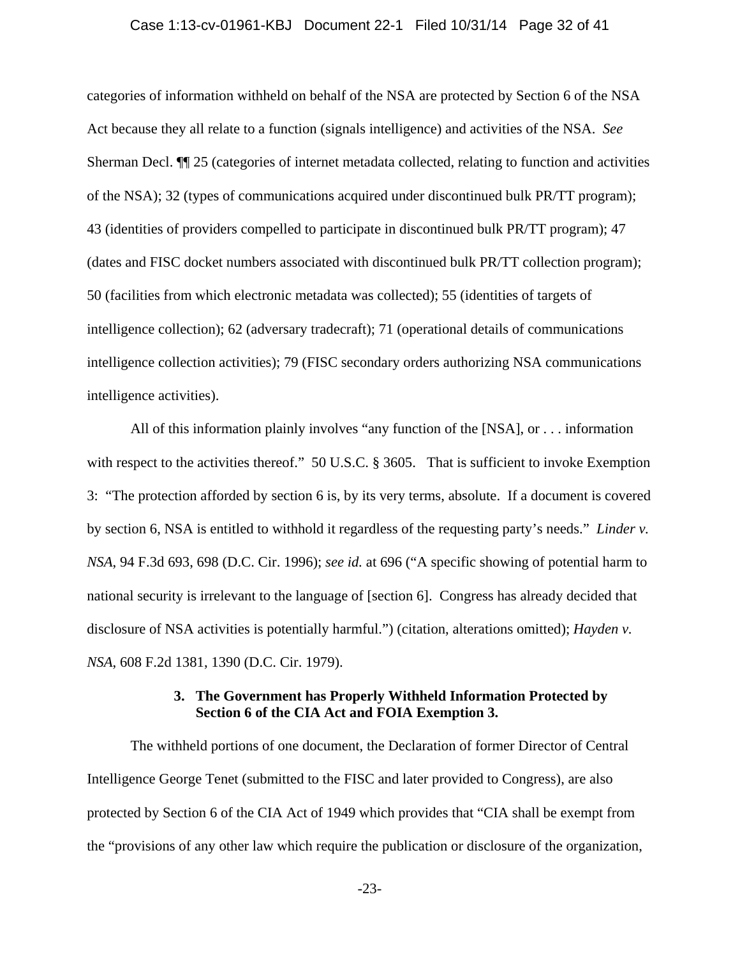### Case 1:13-cv-01961-KBJ Document 22-1 Filed 10/31/14 Page 32 of 41

categories of information withheld on behalf of the NSA are protected by Section 6 of the NSA Act because they all relate to a function (signals intelligence) and activities of the NSA. *See* Sherman Decl. ¶¶ 25 (categories of internet metadata collected, relating to function and activities of the NSA); 32 (types of communications acquired under discontinued bulk PR/TT program); 43 (identities of providers compelled to participate in discontinued bulk PR/TT program); 47 (dates and FISC docket numbers associated with discontinued bulk PR/TT collection program); 50 (facilities from which electronic metadata was collected); 55 (identities of targets of intelligence collection); 62 (adversary tradecraft); 71 (operational details of communications intelligence collection activities); 79 (FISC secondary orders authorizing NSA communications intelligence activities).

All of this information plainly involves "any function of the [NSA], or . . . information with respect to the activities thereof." 50 U.S.C. § 3605. That is sufficient to invoke Exemption 3: "The protection afforded by section 6 is, by its very terms, absolute. If a document is covered by section 6, NSA is entitled to withhold it regardless of the requesting party's needs." *Linder v. NSA*, 94 F.3d 693, 698 (D.C. Cir. 1996); *see id.* at 696 ("A specific showing of potential harm to national security is irrelevant to the language of [section 6]. Congress has already decided that disclosure of NSA activities is potentially harmful.") (citation, alterations omitted); *Hayden v. NSA*, 608 F.2d 1381, 1390 (D.C. Cir. 1979).

# **3. The Government has Properly Withheld Information Protected by Section 6 of the CIA Act and FOIA Exemption 3.**

The withheld portions of one document, the Declaration of former Director of Central Intelligence George Tenet (submitted to the FISC and later provided to Congress), are also protected by Section 6 of the CIA Act of 1949 which provides that "CIA shall be exempt from the "provisions of any other law which require the publication or disclosure of the organization,

-23-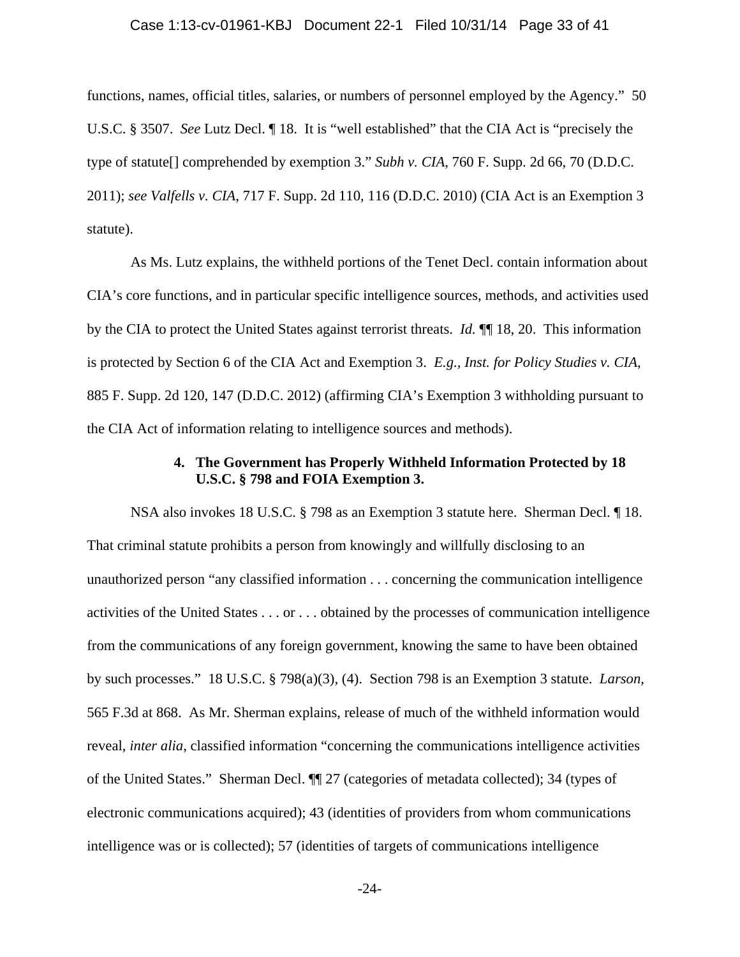#### Case 1:13-cv-01961-KBJ Document 22-1 Filed 10/31/14 Page 33 of 41

functions, names, official titles, salaries, or numbers of personnel employed by the Agency." 50 U.S.C. § 3507. *See* Lutz Decl. ¶ 18. It is "well established" that the CIA Act is "precisely the type of statute[] comprehended by exemption 3." *Subh v. CIA*, 760 F. Supp. 2d 66, 70 (D.D.C. 2011); *see Valfells v. CIA*, 717 F. Supp. 2d 110, 116 (D.D.C. 2010) (CIA Act is an Exemption 3 statute).

As Ms. Lutz explains, the withheld portions of the Tenet Decl. contain information about CIA's core functions, and in particular specific intelligence sources, methods, and activities used by the CIA to protect the United States against terrorist threats. *Id.* ¶¶ 18, 20. This information is protected by Section 6 of the CIA Act and Exemption 3. *E.g.*, *Inst. for Policy Studies v. CIA*, 885 F. Supp. 2d 120, 147 (D.D.C. 2012) (affirming CIA's Exemption 3 withholding pursuant to the CIA Act of information relating to intelligence sources and methods).

## **4. The Government has Properly Withheld Information Protected by 18 U.S.C. § 798 and FOIA Exemption 3.**

NSA also invokes 18 U.S.C. § 798 as an Exemption 3 statute here. Sherman Decl. ¶ 18. That criminal statute prohibits a person from knowingly and willfully disclosing to an unauthorized person "any classified information . . . concerning the communication intelligence activities of the United States . . . or . . . obtained by the processes of communication intelligence from the communications of any foreign government, knowing the same to have been obtained by such processes." 18 U.S.C. § 798(a)(3), (4). Section 798 is an Exemption 3 statute. *Larson*, 565 F.3d at 868. As Mr. Sherman explains, release of much of the withheld information would reveal, *inter alia*, classified information "concerning the communications intelligence activities of the United States." Sherman Decl. ¶¶ 27 (categories of metadata collected); 34 (types of electronic communications acquired); 43 (identities of providers from whom communications intelligence was or is collected); 57 (identities of targets of communications intelligence

-24-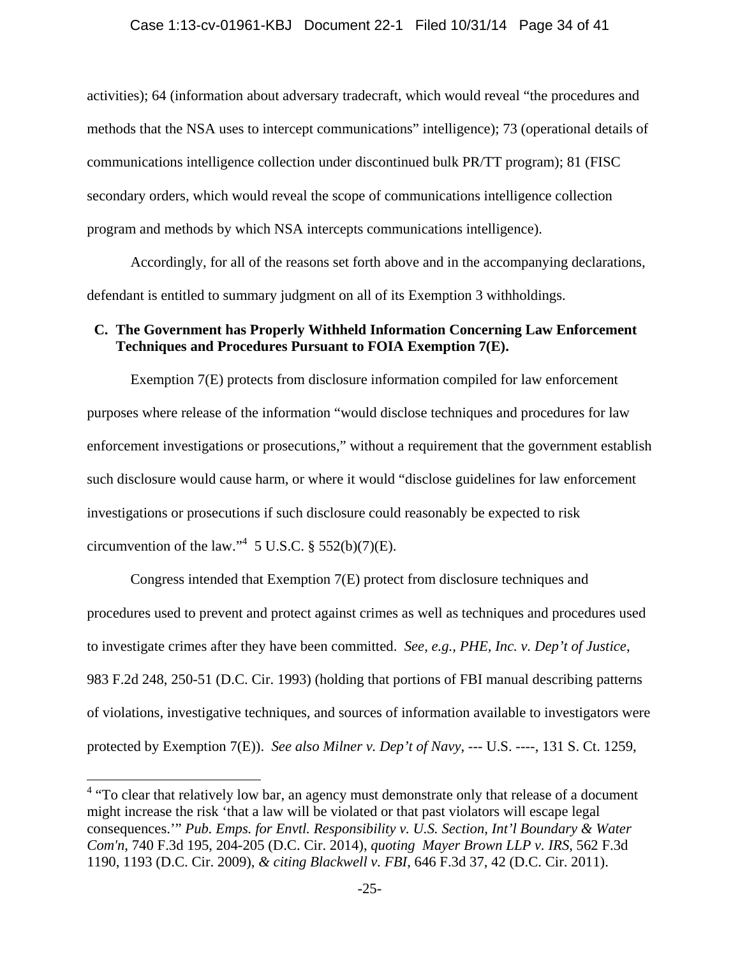activities); 64 (information about adversary tradecraft, which would reveal "the procedures and methods that the NSA uses to intercept communications" intelligence); 73 (operational details of communications intelligence collection under discontinued bulk PR/TT program); 81 (FISC secondary orders, which would reveal the scope of communications intelligence collection program and methods by which NSA intercepts communications intelligence).

Accordingly, for all of the reasons set forth above and in the accompanying declarations, defendant is entitled to summary judgment on all of its Exemption 3 withholdings.

# **C. The Government has Properly Withheld Information Concerning Law Enforcement Techniques and Procedures Pursuant to FOIA Exemption 7(E).**

Exemption 7(E) protects from disclosure information compiled for law enforcement purposes where release of the information "would disclose techniques and procedures for law enforcement investigations or prosecutions," without a requirement that the government establish such disclosure would cause harm, or where it would "disclose guidelines for law enforcement investigations or prosecutions if such disclosure could reasonably be expected to risk circumvention of the law." $4\,$  5 U.S.C. § 552(b)(7)(E).

Congress intended that Exemption 7(E) protect from disclosure techniques and procedures used to prevent and protect against crimes as well as techniques and procedures used to investigate crimes after they have been committed. *See, e.g., PHE, Inc. v. Dep't of Justice*, 983 F.2d 248, 250-51 (D.C. Cir. 1993) (holding that portions of FBI manual describing patterns of violations, investigative techniques, and sources of information available to investigators were protected by Exemption 7(E)). *See also Milner v. Dep't of Navy*, --- U.S. ----, 131 S. Ct. 1259,

<sup>&</sup>lt;sup>4</sup> "To clear that relatively low bar, an agency must demonstrate only that release of a document might increase the risk 'that a law will be violated or that past violators will escape legal consequences.'" *Pub. Emps. for Envtl. Responsibility v. U.S. Section, Int'l Boundary & Water Com'n*, 740 F.3d 195, 204-205 (D.C. Cir. 2014), *quoting Mayer Brown LLP v. IRS*, 562 F.3d 1190, 1193 (D.C. Cir. 2009), *& citing Blackwell v. FBI*, 646 F.3d 37, 42 (D.C. Cir. 2011).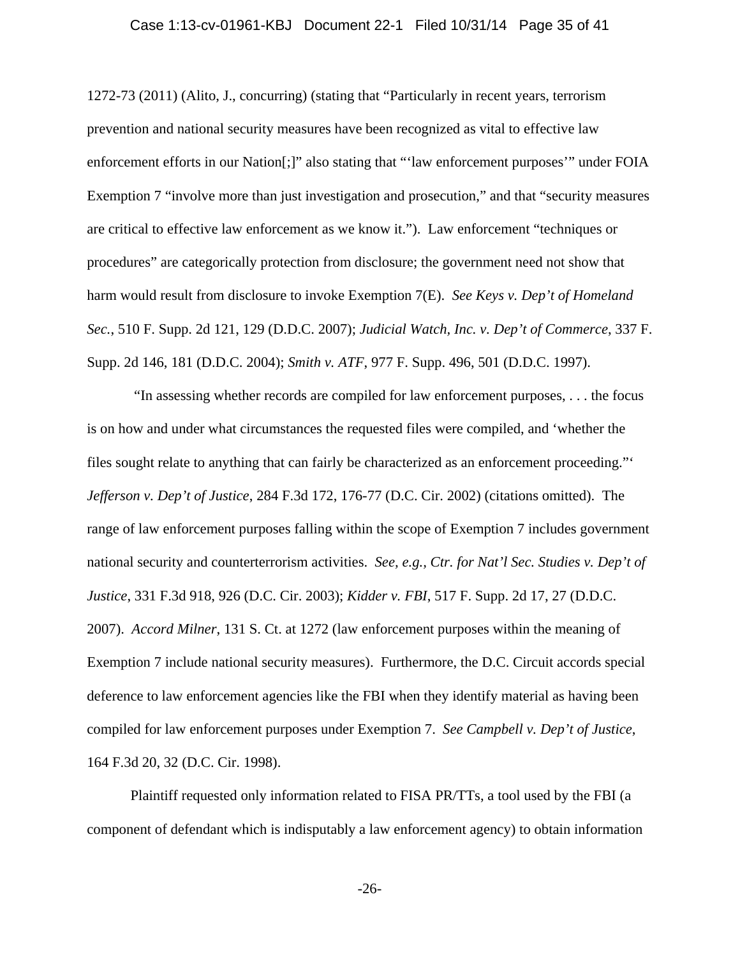#### Case 1:13-cv-01961-KBJ Document 22-1 Filed 10/31/14 Page 35 of 41

1272-73 (2011) (Alito, J., concurring) (stating that "Particularly in recent years, terrorism prevention and national security measures have been recognized as vital to effective law enforcement efforts in our Nation[;]" also stating that "'law enforcement purposes'" under FOIA Exemption 7 "involve more than just investigation and prosecution," and that "security measures are critical to effective law enforcement as we know it."). Law enforcement "techniques or procedures" are categorically protection from disclosure; the government need not show that harm would result from disclosure to invoke Exemption 7(E). *See Keys v. Dep't of Homeland Sec.*, 510 F. Supp. 2d 121, 129 (D.D.C. 2007); *Judicial Watch, Inc. v. Dep't of Commerce*, 337 F. Supp. 2d 146, 181 (D.D.C. 2004); *Smith v. ATF*, 977 F. Supp. 496, 501 (D.D.C. 1997).

 "In assessing whether records are compiled for law enforcement purposes, . . . the focus is on how and under what circumstances the requested files were compiled, and 'whether the files sought relate to anything that can fairly be characterized as an enforcement proceeding."' *Jefferson v. Dep't of Justice*, 284 F.3d 172, 176-77 (D.C. Cir. 2002) (citations omitted). The range of law enforcement purposes falling within the scope of Exemption 7 includes government national security and counterterrorism activities. *See, e.g., Ctr. for Nat'l Sec. Studies v. Dep't of Justice*, 331 F.3d 918, 926 (D.C. Cir. 2003); *Kidder v. FBI*, 517 F. Supp. 2d 17, 27 (D.D.C. 2007). *Accord Milner*, 131 S. Ct. at 1272 (law enforcement purposes within the meaning of Exemption 7 include national security measures). Furthermore, the D.C. Circuit accords special deference to law enforcement agencies like the FBI when they identify material as having been compiled for law enforcement purposes under Exemption 7. *See Campbell v. Dep't of Justice*, 164 F.3d 20, 32 (D.C. Cir. 1998).

Plaintiff requested only information related to FISA PR/TTs, a tool used by the FBI (a component of defendant which is indisputably a law enforcement agency) to obtain information

-26-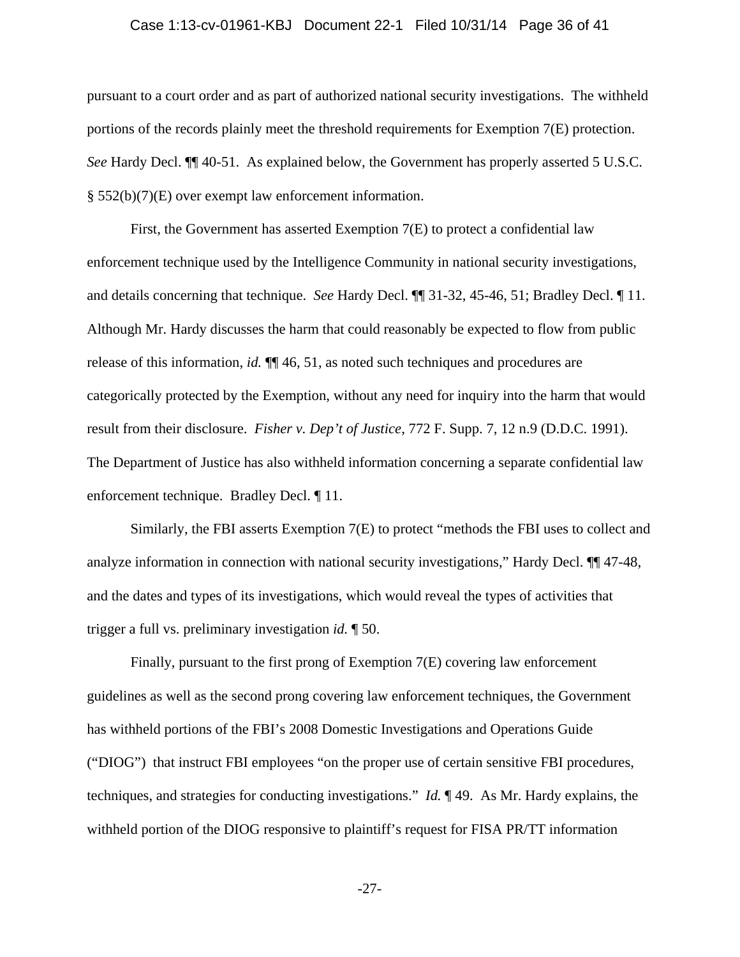### Case 1:13-cv-01961-KBJ Document 22-1 Filed 10/31/14 Page 36 of 41

pursuant to a court order and as part of authorized national security investigations. The withheld portions of the records plainly meet the threshold requirements for Exemption 7(E) protection. *See* Hardy Decl. ¶¶ 40-51. As explained below, the Government has properly asserted 5 U.S.C. § 552(b)(7)(E) over exempt law enforcement information.

First, the Government has asserted Exemption 7(E) to protect a confidential law enforcement technique used by the Intelligence Community in national security investigations, and details concerning that technique. *See* Hardy Decl. ¶¶ 31-32, 45-46, 51; Bradley Decl. ¶ 11. Although Mr. Hardy discusses the harm that could reasonably be expected to flow from public release of this information, *id.* ¶¶ 46, 51, as noted such techniques and procedures are categorically protected by the Exemption, without any need for inquiry into the harm that would result from their disclosure. *Fisher v. Dep't of Justice*, 772 F. Supp. 7, 12 n.9 (D.D.C. 1991). The Department of Justice has also withheld information concerning a separate confidential law enforcement technique. Bradley Decl. ¶ 11.

Similarly, the FBI asserts Exemption 7(E) to protect "methods the FBI uses to collect and analyze information in connection with national security investigations," Hardy Decl. ¶¶ 47-48, and the dates and types of its investigations, which would reveal the types of activities that trigger a full vs. preliminary investigation *id.* ¶ 50.

Finally, pursuant to the first prong of Exemption 7(E) covering law enforcement guidelines as well as the second prong covering law enforcement techniques, the Government has withheld portions of the FBI's 2008 Domestic Investigations and Operations Guide ("DIOG") that instruct FBI employees "on the proper use of certain sensitive FBI procedures, techniques, and strategies for conducting investigations." *Id.* ¶ 49. As Mr. Hardy explains, the withheld portion of the DIOG responsive to plaintiff's request for FISA PR/TT information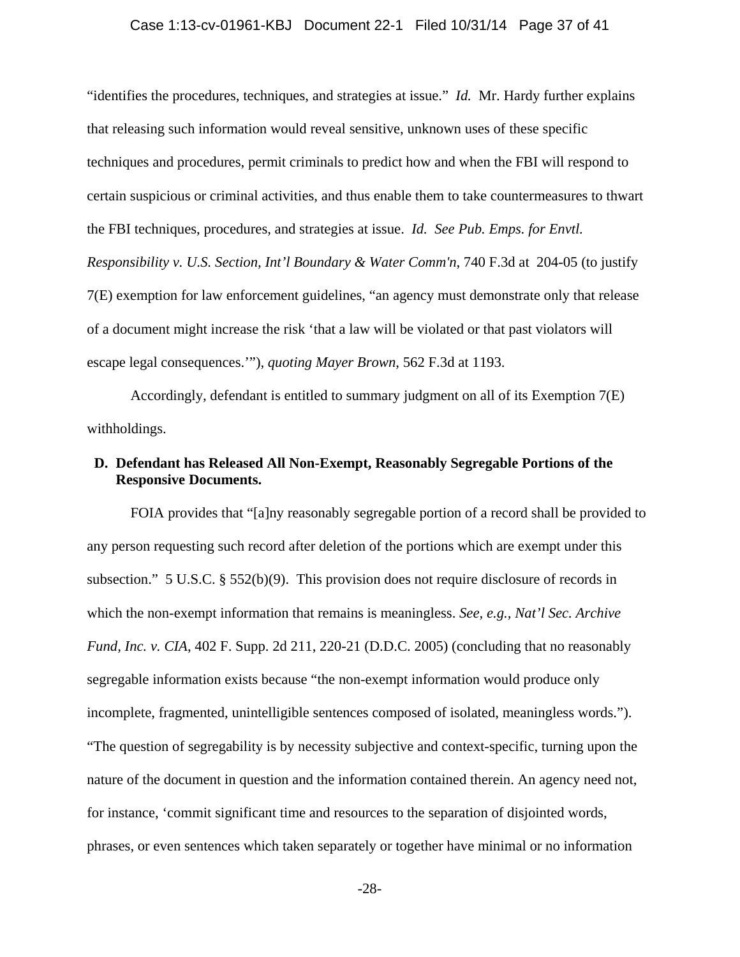#### Case 1:13-cv-01961-KBJ Document 22-1 Filed 10/31/14 Page 37 of 41

"identifies the procedures, techniques, and strategies at issue." *Id.* Mr. Hardy further explains that releasing such information would reveal sensitive, unknown uses of these specific techniques and procedures, permit criminals to predict how and when the FBI will respond to certain suspicious or criminal activities, and thus enable them to take countermeasures to thwart the FBI techniques, procedures, and strategies at issue. *Id. See Pub. Emps. for Envtl. Responsibility v. U.S. Section, Int'l Boundary & Water Comm'n*, 740 F.3d at 204-05 (to justify 7(E) exemption for law enforcement guidelines, "an agency must demonstrate only that release of a document might increase the risk 'that a law will be violated or that past violators will escape legal consequences.'"), *quoting Mayer Brown*, 562 F.3d at 1193.

Accordingly, defendant is entitled to summary judgment on all of its Exemption 7(E) withholdings.

# **D. Defendant has Released All Non-Exempt, Reasonably Segregable Portions of the Responsive Documents.**

FOIA provides that "[a]ny reasonably segregable portion of a record shall be provided to any person requesting such record after deletion of the portions which are exempt under this subsection." 5 U.S.C. § 552(b)(9). This provision does not require disclosure of records in which the non-exempt information that remains is meaningless. *See, e.g., Nat'l Sec. Archive Fund, Inc. v. CIA, 402 F. Supp. 2d 211, 220-21 (D.D.C. 2005)* (concluding that no reasonably segregable information exists because "the non-exempt information would produce only incomplete, fragmented, unintelligible sentences composed of isolated, meaningless words."). "The question of segregability is by necessity subjective and context-specific, turning upon the nature of the document in question and the information contained therein. An agency need not, for instance, 'commit significant time and resources to the separation of disjointed words, phrases, or even sentences which taken separately or together have minimal or no information

-28-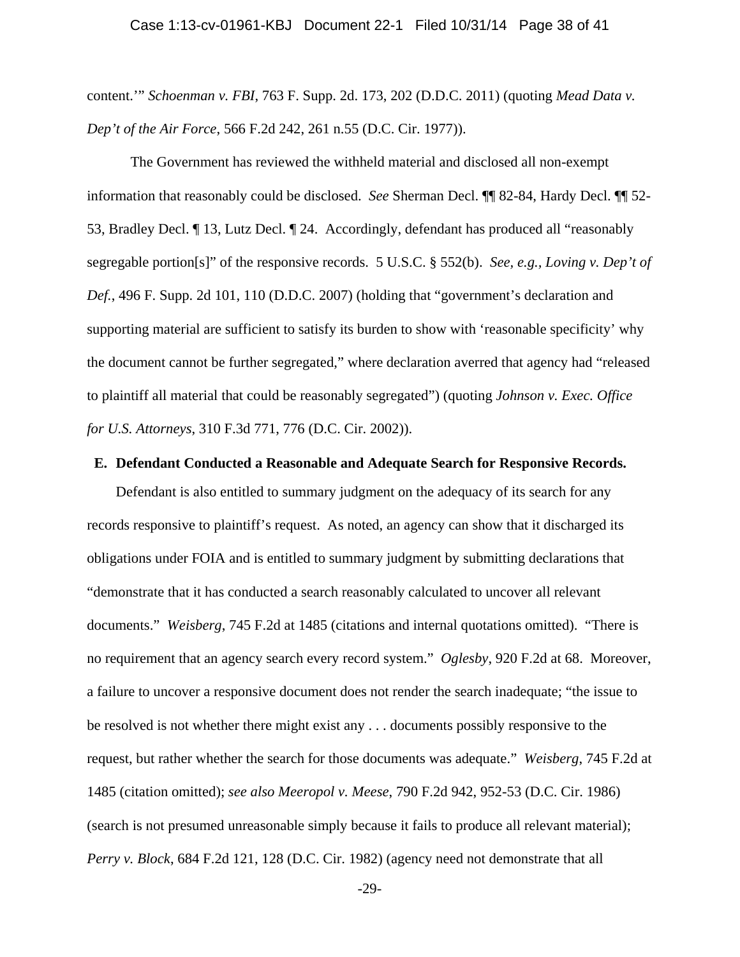content.'" *Schoenman v. FBI*, 763 F. Supp. 2d. 173, 202 (D.D.C. 2011) (quoting *Mead Data v. Dep't of the Air Force*, 566 F.2d 242, 261 n.55 (D.C. Cir. 1977)).

The Government has reviewed the withheld material and disclosed all non-exempt information that reasonably could be disclosed. *See* Sherman Decl. ¶¶ 82-84, Hardy Decl. ¶¶ 52- 53, Bradley Decl. ¶ 13, Lutz Decl. ¶ 24. Accordingly, defendant has produced all "reasonably segregable portion[s]" of the responsive records. 5 U.S.C. § 552(b). *See, e.g., Loving v. Dep't of Def.*, 496 F. Supp. 2d 101, 110 (D.D.C. 2007) (holding that "government's declaration and supporting material are sufficient to satisfy its burden to show with 'reasonable specificity' why the document cannot be further segregated," where declaration averred that agency had "released to plaintiff all material that could be reasonably segregated") (quoting *Johnson v. Exec. Office for U.S. Attorneys*, 310 F.3d 771, 776 (D.C. Cir. 2002)).

#### **E. Defendant Conducted a Reasonable and Adequate Search for Responsive Records.**

Defendant is also entitled to summary judgment on the adequacy of its search for any records responsive to plaintiff's request. As noted, an agency can show that it discharged its obligations under FOIA and is entitled to summary judgment by submitting declarations that "demonstrate that it has conducted a search reasonably calculated to uncover all relevant documents." *Weisberg*, 745 F.2d at 1485 (citations and internal quotations omitted). "There is no requirement that an agency search every record system." *Oglesby*, 920 F.2d at 68. Moreover, a failure to uncover a responsive document does not render the search inadequate; "the issue to be resolved is not whether there might exist any . . . documents possibly responsive to the request, but rather whether the search for those documents was adequate." *Weisberg*, 745 F.2d at 1485 (citation omitted); *see also Meeropol v. Meese*, 790 F.2d 942, 952-53 (D.C. Cir. 1986) (search is not presumed unreasonable simply because it fails to produce all relevant material); *Perry v. Block*, 684 F.2d 121, 128 (D.C. Cir. 1982) (agency need not demonstrate that all

-29-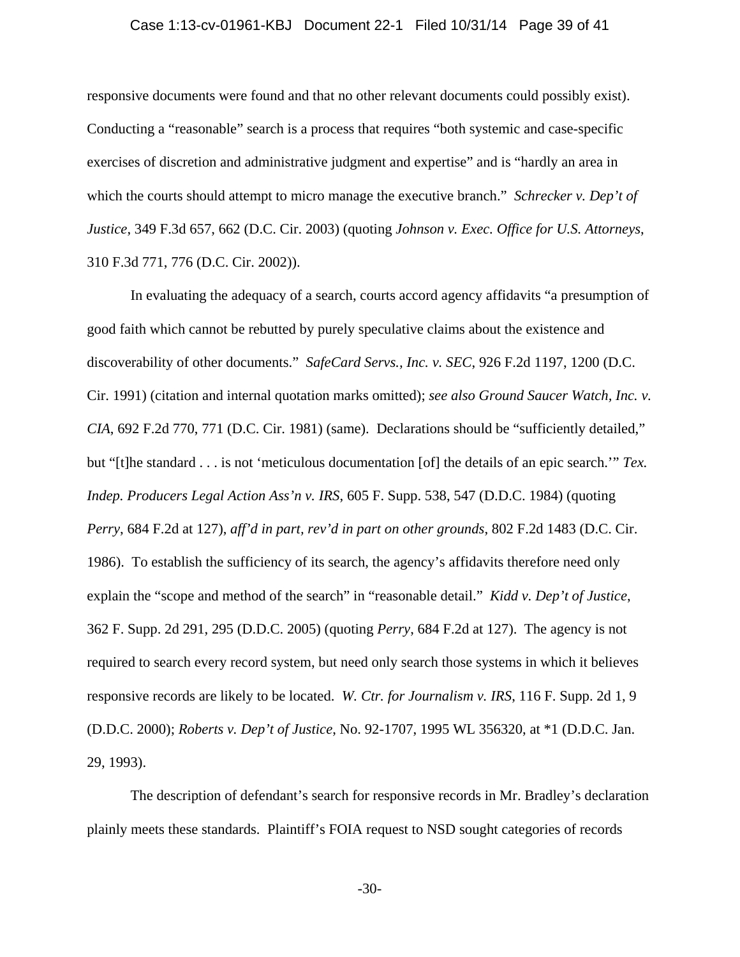#### Case 1:13-cv-01961-KBJ Document 22-1 Filed 10/31/14 Page 39 of 41

responsive documents were found and that no other relevant documents could possibly exist). Conducting a "reasonable" search is a process that requires "both systemic and case-specific exercises of discretion and administrative judgment and expertise" and is "hardly an area in which the courts should attempt to micro manage the executive branch." *Schrecker v. Dep't of Justice*, 349 F.3d 657, 662 (D.C. Cir. 2003) (quoting *Johnson v. Exec. Office for U.S. Attorneys*, 310 F.3d 771, 776 (D.C. Cir. 2002)).

In evaluating the adequacy of a search, courts accord agency affidavits "a presumption of good faith which cannot be rebutted by purely speculative claims about the existence and discoverability of other documents." *SafeCard Servs., Inc. v. SEC*, 926 F.2d 1197, 1200 (D.C. Cir. 1991) (citation and internal quotation marks omitted); *see also Ground Saucer Watch, Inc. v. CIA*, 692 F.2d 770, 771 (D.C. Cir. 1981) (same). Declarations should be "sufficiently detailed," but "[t]he standard . . . is not 'meticulous documentation [of] the details of an epic search.'" *Tex. Indep. Producers Legal Action Ass'n v. IRS*, 605 F. Supp. 538, 547 (D.D.C. 1984) (quoting *Perry*, 684 F.2d at 127), *aff'd in part, rev'd in part on other grounds*, 802 F.2d 1483 (D.C. Cir. 1986). To establish the sufficiency of its search, the agency's affidavits therefore need only explain the "scope and method of the search" in "reasonable detail." *Kidd v. Dep't of Justice*, 362 F. Supp. 2d 291, 295 (D.D.C. 2005) (quoting *Perry*, 684 F.2d at 127). The agency is not required to search every record system, but need only search those systems in which it believes responsive records are likely to be located. *W. Ctr. for Journalism v. IRS*, 116 F. Supp. 2d 1, 9 (D.D.C. 2000); *Roberts v. Dep't of Justice*, No. 92-1707, 1995 WL 356320, at \*1 (D.D.C. Jan. 29, 1993).

The description of defendant's search for responsive records in Mr. Bradley's declaration plainly meets these standards. Plaintiff's FOIA request to NSD sought categories of records

-30-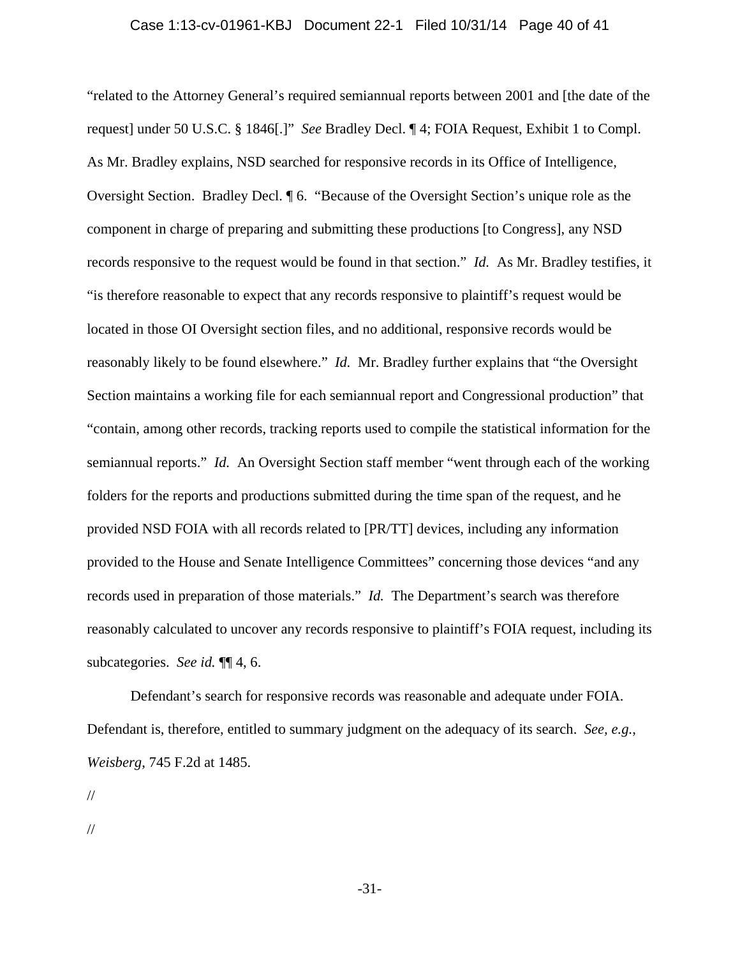"related to the Attorney General's required semiannual reports between 2001 and [the date of the request] under 50 U.S.C. § 1846[.]" *See* Bradley Decl. ¶ 4; FOIA Request, Exhibit 1 to Compl. As Mr. Bradley explains, NSD searched for responsive records in its Office of Intelligence, Oversight Section. Bradley Decl. ¶ 6. "Because of the Oversight Section's unique role as the component in charge of preparing and submitting these productions [to Congress], any NSD records responsive to the request would be found in that section." *Id.* As Mr. Bradley testifies, it "is therefore reasonable to expect that any records responsive to plaintiff's request would be located in those OI Oversight section files, and no additional, responsive records would be reasonably likely to be found elsewhere." *Id.* Mr. Bradley further explains that "the Oversight Section maintains a working file for each semiannual report and Congressional production" that "contain, among other records, tracking reports used to compile the statistical information for the semiannual reports." *Id.* An Oversight Section staff member "went through each of the working folders for the reports and productions submitted during the time span of the request, and he provided NSD FOIA with all records related to [PR/TT] devices, including any information provided to the House and Senate Intelligence Committees" concerning those devices "and any records used in preparation of those materials." *Id.* The Department's search was therefore reasonably calculated to uncover any records responsive to plaintiff's FOIA request, including its subcategories. *See id.* ¶¶ 4, 6.

Defendant's search for responsive records was reasonable and adequate under FOIA. Defendant is, therefore, entitled to summary judgment on the adequacy of its search. *See, e.g.*, *Weisberg*, 745 F.2d at 1485.

//

//

-31-